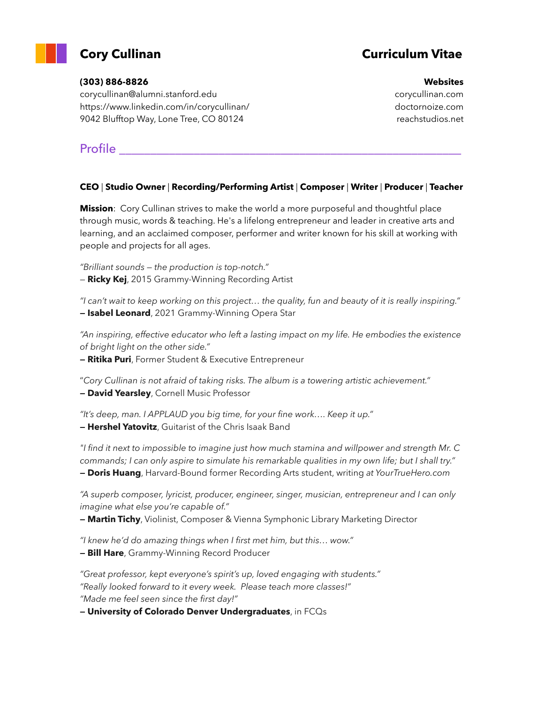

## **Cory Cullinan Curriculum Vitae**

#### **(303) 886-8826**

corycullinan@alumni.stanford.edu https://www.linkedin.com/in/corycullinan/ 9042 Blufftop Way, Lone Tree, CO 80124

## Profile **Exercise**

#### **CEO** | **Studio Owner** | **Recording/Performing Artist** | **Composer** | **Writer** | **Producer** | **Teacher**

**Mission**: Cory Cullinan strives to make the world a more purposeful and thoughtful place through music, words & teaching. He's a lifelong entrepreneur and leader in creative arts and learning, and an acclaimed composer, performer and writer known for his skill at working with people and projects for all ages.

*"Brilliant sounds — the production is top-notch."*

— **Ricky Kej**, 2015 Grammy-Winning Recording Artist

*"I can't wait to keep working on this project… the quality, fun and beauty of it is really inspiring."* **— Isabel Leonard**, 2021 Grammy-Winning Opera Star

*"An inspiring, effective educator who left a lasting impact on my life. He embodies the existence of bright light on the other side."*

**— Ritika Puri**, Former Student & Executive Entrepreneur

"*Cory Cullinan is not afraid of taking risks. The album is a towering artistic achievement."* **— David Yearsley**, Cornell Music Professor

*"It's deep, man. I APPLAUD you big time, for your fine work…. Keep it up."* **— Hershel Yatovitz**, Guitarist of the Chris Isaak Band

*"I find it next to impossible to imagine just how much stamina and willpower and strength Mr. C commands; I can only aspire to simulate his remarkable qualities in my own life; but I shall try."* **— Doris Huang**, Harvard-Bound former Recording Arts student, writing *at YourTrueHero.com*

*"A superb composer, lyricist, producer, engineer, singer, musician, entrepreneur and I can only imagine what else you're capable of."*

**— Martin Tichy**, Violinist, Composer & Vienna Symphonic Library Marketing Director

*"I knew he'd do amazing things when I first met him, but this… wow."* **— Bill Hare**, Grammy-Winning Record Producer

*"Great professor, kept everyone's spirit's up, loved engaging with students." "Really looked forward to it every week. Please teach more classes!" "Made me feel seen since the first day!"*

**— University of Colorado Denver Undergraduates**, in FCQs

#### **Websites**

corycullinan.com doctornoize.com reachstudios.net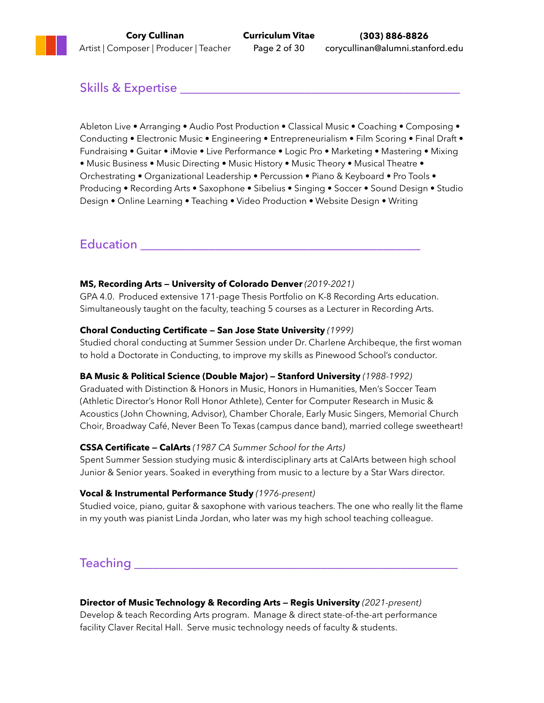## Skills & Expertise \_\_\_\_\_\_\_\_\_\_\_\_\_\_\_\_\_\_\_\_\_\_\_\_\_\_\_\_\_\_\_\_\_\_\_\_\_\_\_\_\_\_\_\_\_

Ableton Live • Arranging • Audio Post Production • Classical Music • Coaching • Composing • Conducting • Electronic Music • Engineering • Entrepreneurialism • Film Scoring • Final Draft • Fundraising • Guitar • iMovie • Live Performance • Logic Pro • Marketing • Mastering • Mixing • Music Business • Music Directing • Music History • Music Theory • Musical Theatre • Orchestrating • Organizational Leadership • Percussion • Piano & Keyboard • Pro Tools • Producing • Recording Arts • Saxophone • Sibelius • Singing • Soccer • Sound Design • Studio Design • Online Learning • Teaching • Video Production • Website Design • Writing

## Education \_\_\_\_\_\_\_\_\_\_\_\_\_\_\_\_\_\_\_\_\_\_\_\_\_\_\_\_\_\_\_\_\_\_\_\_\_\_\_\_\_\_\_\_\_

#### **MS, Recording Arts — University of Colorado Denver** *(2019-2021)*

GPA 4.0. Produced extensive 171-page Thesis Portfolio on K-8 Recording Arts education. Simultaneously taught on the faculty, teaching 5 courses as a Lecturer in Recording Arts.

#### **Choral Conducting Certificate — San Jose State University** *(1999)*

Studied choral conducting at Summer Session under Dr. Charlene Archibeque, the first woman to hold a Doctorate in Conducting, to improve my skills as Pinewood School's conductor.

### **BA Music & Political Science (Double Major) — Stanford University** *(1988-1992)*

Graduated with Distinction & Honors in Music, Honors in Humanities, Men's Soccer Team (Athletic Director's Honor Roll Honor Athlete), Center for Computer Research in Music & Acoustics (John Chowning, Advisor), Chamber Chorale, Early Music Singers, Memorial Church Choir, Broadway Café, Never Been To Texas (campus dance band), married college sweetheart!

### **CSSA Certificate — CalArts** *(1987 CA Summer School for the Arts)*

Spent Summer Session studying music & interdisciplinary arts at CalArts between high school Junior & Senior years. Soaked in everything from music to a lecture by a Star Wars director.

#### **Vocal & Instrumental Performance Study** *(1976-present)*

Studied voice, piano, guitar & saxophone with various teachers. The one who really lit the flame in my youth was pianist Linda Jordan, who later was my high school teaching colleague.

## $\sf{Teaching}$  . The ching are set of  $\sf{Teaching}$  . The contract of  $\sf{Teaching}$  ,  $\sf{Teaching}$  ,  $\sf{Teaching}$  ,  $\sf{Teaching}$  ,  $\sf{Teaching}$  ,  $\sf{Teasing}$  ,  $\sf{Teasing}$  ,  $\sf{Teasing}$  ,  $\sf{Teasing}$  ,  $\sf{Teasing}$  ,  $\sf{Teasing}$  ,  $\sf{Teasing}$  ,  $\sf{Teasing}$  ,  $\sf{Teasing}$  ,  $\sf{Teasing}$

**Director of Music Technology & Recording Arts — Regis University** *(2021-present)* Develop & teach Recording Arts program. Manage & direct state-of-the-art performance facility Claver Recital Hall. Serve music technology needs of faculty & students.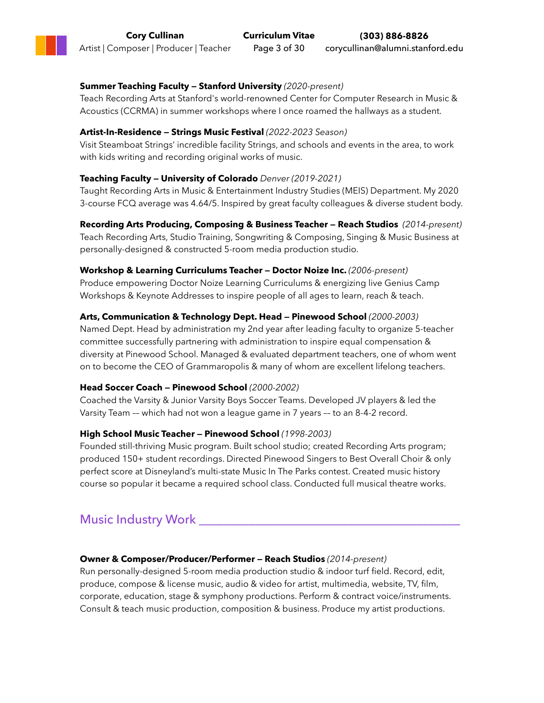### **Summer Teaching Faculty — Stanford University** *(2020-present)*

Teach Recording Arts at Stanford's world-renowned Center for Computer Research in Music & Acoustics (CCRMA) in summer workshops where I once roamed the hallways as a student.

#### **Artist-In-Residence — Strings Music Festival** *(2022-2023 Season)*

Visit Steamboat Strings' incredible facility Strings, and schools and events in the area, to work with kids writing and recording original works of music.

#### **Teaching Faculty — University of Colorado** *Denver (2019-2021)*

Taught Recording Arts in Music & Entertainment Industry Studies (MEIS) Department. My 2020 3-course FCQ average was 4.64/5. Inspired by great faculty colleagues & diverse student body.

**Recording Arts Producing, Composing & Business Teacher — Reach Studios** *(2014-present)* Teach Recording Arts, Studio Training, Songwriting & Composing, Singing & Music Business at personally-designed & constructed 5-room media production studio.

#### **Workshop & Learning Curriculums Teacher — Doctor Noize Inc.** *(2006-present)*

Produce empowering Doctor Noize Learning Curriculums & energizing live Genius Camp Workshops & Keynote Addresses to inspire people of all ages to learn, reach & teach.

#### **Arts, Communication & Technology Dept. Head — Pinewood School** *(2000-2003)*

Named Dept. Head by administration my 2nd year after leading faculty to organize 5-teacher committee successfully partnering with administration to inspire equal compensation & diversity at Pinewood School. Managed & evaluated department teachers, one of whom went on to become the CEO of Grammaropolis & many of whom are excellent lifelong teachers.

### **Head Soccer Coach — Pinewood School** *(2000-2002)*

Coached the Varsity & Junior Varsity Boys Soccer Teams. Developed JV players & led the Varsity Team –– which had not won a league game in 7 years –– to an 8-4-2 record.

### **High School Music Teacher — Pinewood School** *(1998-2003)*

Founded still-thriving Music program. Built school studio; created Recording Arts program; produced 150+ student recordings. Directed Pinewood Singers to Best Overall Choir & only perfect score at Disneyland's multi-state Music In The Parks contest. Created music history course so popular it became a required school class. Conducted full musical theatre works.

## Music Industry Work \_\_\_\_\_\_\_\_\_\_\_\_\_\_\_\_\_\_\_\_\_\_\_\_\_\_\_\_\_\_\_\_\_\_\_\_\_\_\_\_\_\_

#### **Owner & Composer/Producer/Performer — Reach Studios** *(2014-present)*

Run personally-designed 5-room media production studio & indoor turf field. Record, edit, produce, compose & license music, audio & video for artist, multimedia, website, TV, film, corporate, education, stage & symphony productions. Perform & contract voice/instruments. Consult & teach music production, composition & business. Produce my artist productions.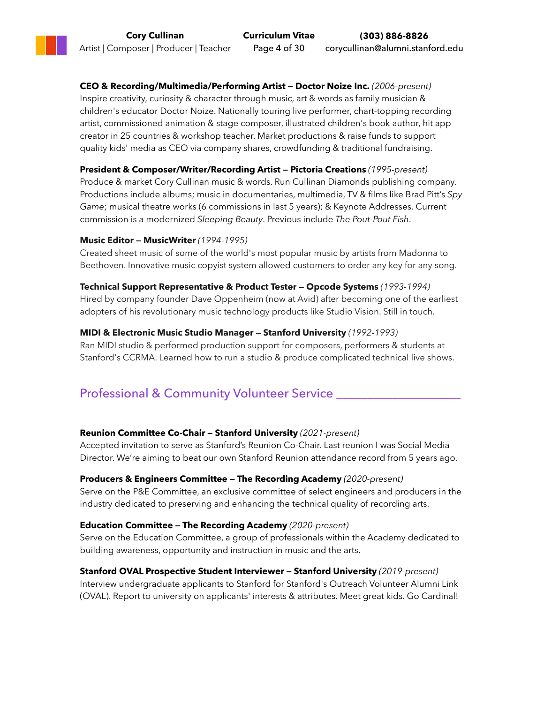**CEO & Recording/Multimedia/Performing Artist — Doctor Noize Inc.** *(2006-present)* Inspire creativity, curiosity & character through music, art & words as family musician & children's educator Doctor Noize. Nationally touring live performer, chart-topping recording artist, commissioned animation & stage composer, illustrated children's book author, hit app creator in 25 countries & workshop teacher. Market productions & raise funds to support quality kids' media as CEO via company shares, crowdfunding & traditional fundraising.

#### **President & Composer/Writer/Recording Artist — Pictoria Creations** *(1995-present)*

Produce & market Cory Cullinan music & words. Run Cullinan Diamonds publishing company. Productions include albums; music in documentaries, multimedia, TV & films like Brad Pitt's *Spy Game*; musical theatre works (6 commissions in last 5 years); & Keynote Addresses. Current commission is a modernized *Sleeping Beauty*. Previous include *The Pout-Pout Fish*.

#### **Music Editor — MusicWriter** *(1994-1995)*

Created sheet music of some of the world's most popular music by artists from Madonna to Beethoven. Innovative music copyist system allowed customers to order any key for any song.

#### **Technical Support Representative & Product Tester — Opcode Systems** *(1993-1994)*

Hired by company founder Dave Oppenheim (now at Avid) after becoming one of the earliest adopters of his revolutionary music technology products like Studio Vision. Still in touch.

#### **MIDI & Electronic Music Studio Manager — Stanford University** *(1992-1993)*

Ran MIDI studio & performed production support for composers, performers & students at Stanford's CCRMA. Learned how to run a studio & produce complicated technical live shows.

## Professional & Community Volunteer Service

#### **Reunion Committee Co-Chair — Stanford University** *(2021-present)*

Accepted invitation to serve as Stanford's Reunion Co-Chair. Last reunion I was Social Media Director. We're aiming to beat our own Stanford Reunion attendance record from 5 years ago.

#### **Producers & Engineers Committee — The Recording Academy** *(2020-present)*

Serve on the P&E Committee, an exclusive committee of select engineers and producers in the industry dedicated to preserving and enhancing the technical quality of recording arts.

#### **Education Committee — The Recording Academy** *(2020-present)*

Serve on the Education Committee, a group of professionals within the Academy dedicated to building awareness, opportunity and instruction in music and the arts.

## **Stanford OVAL Prospective Student Interviewer — Stanford University** *(2019-present)*

Interview undergraduate applicants to Stanford for Stanford's Outreach Volunteer Alumni Link (OVAL). Report to university on applicants' interests & attributes. Meet great kids. Go Cardinal!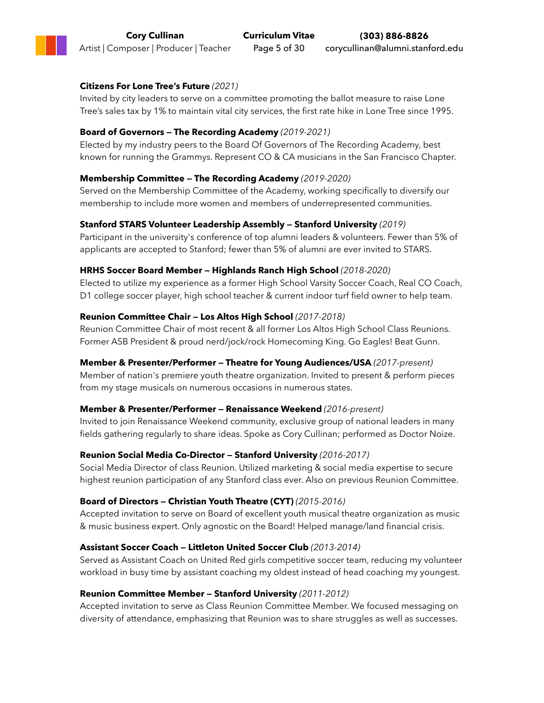#### **Citizens For Lone Tree's Future** *(2021)*

Invited by city leaders to serve on a committee promoting the ballot measure to raise Lone Tree's sales tax by 1% to maintain vital city services, the first rate hike in Lone Tree since 1995.

#### **Board of Governors — The Recording Academy** *(2019-2021)*

Elected by my industry peers to the Board Of Governors of The Recording Academy, best known for running the Grammys. Represent CO & CA musicians in the San Francisco Chapter.

#### **Membership Committee — The Recording Academy** *(2019-2020)*

Served on the Membership Committee of the Academy, working specifically to diversify our membership to include more women and members of underrepresented communities.

#### **Stanford STARS Volunteer Leadership Assembly — Stanford University** *(2019)*

Participant in the university's conference of top alumni leaders & volunteers. Fewer than 5% of applicants are accepted to Stanford; fewer than 5% of alumni are ever invited to STARS.

#### **HRHS Soccer Board Member — Highlands Ranch High School** *(2018-2020)*

Elected to utilize my experience as a former High School Varsity Soccer Coach, Real CO Coach, D1 college soccer player, high school teacher & current indoor turf field owner to help team.

#### **Reunion Committee Chair — Los Altos High School** *(2017-2018)*

Reunion Committee Chair of most recent & all former Los Altos High School Class Reunions. Former ASB President & proud nerd/jock/rock Homecoming King. Go Eagles! Beat Gunn.

#### **Member & Presenter/Performer — Theatre for Young Audiences/USA** *(2017-present)*

Member of nation's premiere youth theatre organization. Invited to present & perform pieces from my stage musicals on numerous occasions in numerous states.

#### **Member & Presenter/Performer — Renaissance Weekend** *(2016-present)*

Invited to join Renaissance Weekend community, exclusive group of national leaders in many fields gathering regularly to share ideas. Spoke as Cory Cullinan; performed as Doctor Noize.

#### **Reunion Social Media Co-Director — Stanford University** *(2016-2017)*

Social Media Director of class Reunion. Utilized marketing & social media expertise to secure highest reunion participation of any Stanford class ever. Also on previous Reunion Committee.

#### **Board of Directors — Christian Youth Theatre (CYT)** *(2015-2016)*

Accepted invitation to serve on Board of excellent youth musical theatre organization as music & music business expert. Only agnostic on the Board! Helped manage/land financial crisis.

#### **Assistant Soccer Coach — Littleton United Soccer Club** *(2013-2014)*

Served as Assistant Coach on United Red girls competitive soccer team, reducing my volunteer workload in busy time by assistant coaching my oldest instead of head coaching my youngest.

#### **Reunion Committee Member — Stanford University** *(2011-2012)*

Accepted invitation to serve as Class Reunion Committee Member. We focused messaging on diversity of attendance, emphasizing that Reunion was to share struggles as well as successes.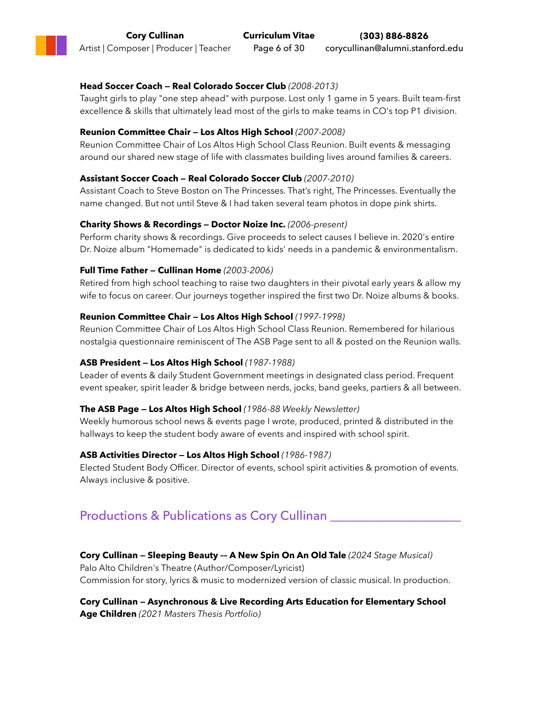#### **Head Soccer Coach — Real Colorado Soccer Club** *(2008-2013)*

Taught girls to play "one step ahead" with purpose. Lost only 1 game in 5 years. Built team-first excellence & skills that ultimately lead most of the girls to make teams in CO's top P1 division.

#### **Reunion Committee Chair — Los Altos High School** *(2007-2008)*

Reunion Committee Chair of Los Altos High School Class Reunion. Built events & messaging around our shared new stage of life with classmates building lives around families & careers.

#### **Assistant Soccer Coach — Real Colorado Soccer Club** *(2007-2010)*

Assistant Coach to Steve Boston on The Princesses. That's right, The Princesses. Eventually the name changed. But not until Steve & I had taken several team photos in dope pink shirts.

#### **Charity Shows & Recordings — Doctor Noize Inc.** *(2006-present)*

Perform charity shows & recordings. Give proceeds to select causes I believe in. 2020's entire Dr. Noize album "Homemade" is dedicated to kids' needs in a pandemic & environmentalism.

#### **Full Time Father — Cullinan Home** *(2003-2006)*

Retired from high school teaching to raise two daughters in their pivotal early years & allow my wife to focus on career. Our journeys together inspired the first two Dr. Noize albums & books.

#### **Reunion Committee Chair — Los Altos High School** *(1997-1998)*

Reunion Committee Chair of Los Altos High School Class Reunion. Remembered for hilarious nostalgia questionnaire reminiscent of The ASB Page sent to all & posted on the Reunion walls.

#### **ASB President — Los Altos High School** *(1987-1988)*

Leader of events & daily Student Government meetings in designated class period. Frequent event speaker, spirit leader & bridge between nerds, jocks, band geeks, partiers & all between.

#### **The ASB Page — Los Altos High School** *(1986-88 Weekly Newsletter)*

Weekly humorous school news & events page I wrote, produced, printed & distributed in the hallways to keep the student body aware of events and inspired with school spirit.

#### **ASB Activities Director — Los Altos High School** *(1986-1987)*

Elected Student Body Officer. Director of events, school spirit activities & promotion of events. Always inclusive & positive.

## Productions & Publications as Cory Cullinan \_\_\_\_\_\_\_\_\_\_\_\_\_\_\_\_\_\_\_\_\_

#### **Cory Cullinan — Sleeping Beauty –– A New Spin On An Old Tale** *(2024 Stage Musical)*

Palo Alto Children's Theatre (Author/Composer/Lyricist) Commission for story, lyrics & music to modernized version of classic musical. In production.

**Cory Cullinan — Asynchronous & Live Recording Arts Education for Elementary School Age Children** *(2021 Masters Thesis Portfolio)*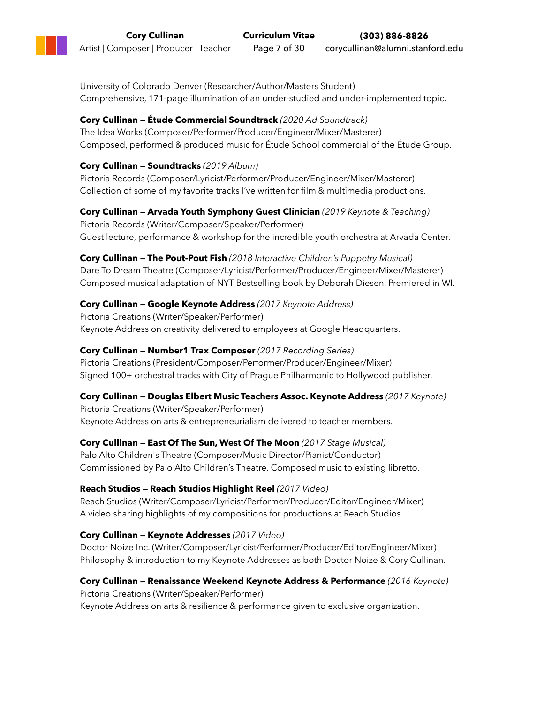University of Colorado Denver (Researcher/Author/Masters Student) Comprehensive, 171-page illumination of an under-studied and under-implemented topic.

### **Cory Cullinan — Étude Commercial Soundtrack** *(2020 Ad Soundtrack)*

The Idea Works (Composer/Performer/Producer/Engineer/Mixer/Masterer) Composed, performed & produced music for Étude School commercial of the Étude Group.

### **Cory Cullinan — Soundtracks** *(2019 Album)*

Pictoria Records (Composer/Lyricist/Performer/Producer/Engineer/Mixer/Masterer) Collection of some of my favorite tracks I've written for film & multimedia productions.

### **Cory Cullinan — Arvada Youth Symphony Guest Clinician** *(2019 Keynote & Teaching)*

Pictoria Records (Writer/Composer/Speaker/Performer) Guest lecture, performance & workshop for the incredible youth orchestra at Arvada Center.

**Cory Cullinan — The Pout-Pout Fish** *(2018 Interactive Children's Puppetry Musical)* Dare To Dream Theatre (Composer/Lyricist/Performer/Producer/Engineer/Mixer/Masterer) Composed musical adaptation of NYT Bestselling book by Deborah Diesen. Premiered in WI.

### **Cory Cullinan — Google Keynote Address** *(2017 Keynote Address)*

Pictoria Creations (Writer/Speaker/Performer) Keynote Address on creativity delivered to employees at Google Headquarters.

### **Cory Cullinan — Number1 Trax Composer** *(2017 Recording Series)*

Pictoria Creations (President/Composer/Performer/Producer/Engineer/Mixer) Signed 100+ orchestral tracks with City of Prague Philharmonic to Hollywood publisher.

### **Cory Cullinan — Douglas Elbert Music Teachers Assoc. Keynote Address** *(2017 Keynote)*

Pictoria Creations (Writer/Speaker/Performer) Keynote Address on arts & entrepreneurialism delivered to teacher members.

### **Cory Cullinan — East Of The Sun, West Of The Moon** *(2017 Stage Musical)*

Palo Alto Children's Theatre (Composer/Music Director/Pianist/Conductor) Commissioned by Palo Alto Children's Theatre. Composed music to existing libretto.

### **Reach Studios — Reach Studios Highlight Reel** *(2017 Video)*

Reach Studios (Writer/Composer/Lyricist/Performer/Producer/Editor/Engineer/Mixer) A video sharing highlights of my compositions for productions at Reach Studios.

### **Cory Cullinan — Keynote Addresses** *(2017 Video)*

Doctor Noize Inc. (Writer/Composer/Lyricist/Performer/Producer/Editor/Engineer/Mixer) Philosophy & introduction to my Keynote Addresses as both Doctor Noize & Cory Cullinan.

### **Cory Cullinan — Renaissance Weekend Keynote Address & Performance** *(2016 Keynote)*

Pictoria Creations (Writer/Speaker/Performer)

Keynote Address on arts & resilience & performance given to exclusive organization.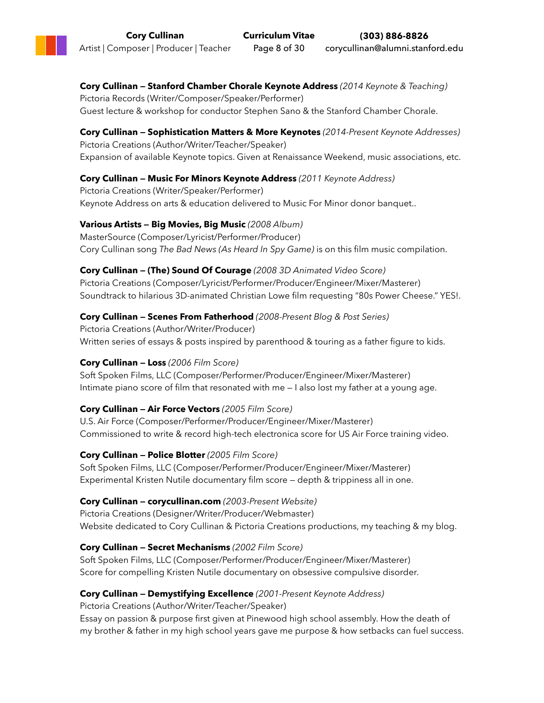**Cory Cullinan — Stanford Chamber Chorale Keynote Address** *(2014 Keynote & Teaching)* Pictoria Records (Writer/Composer/Speaker/Performer) Guest lecture & workshop for conductor Stephen Sano & the Stanford Chamber Chorale.

### **Cory Cullinan — Sophistication Matters & More Keynotes** *(2014-Present Keynote Addresses)* Pictoria Creations (Author/Writer/Teacher/Speaker) Expansion of available Keynote topics. Given at Renaissance Weekend, music associations, etc.

### **Cory Cullinan — Music For Minors Keynote Address** *(2011 Keynote Address)*

Pictoria Creations (Writer/Speaker/Performer) Keynote Address on arts & education delivered to Music For Minor donor banquet..

### **Various Artists — Big Movies, Big Music** *(2008 Album)*

MasterSource (Composer/Lyricist/Performer/Producer) Cory Cullinan song *The Bad News (As Heard In Spy Game)* is on this film music compilation.

### **Cory Cullinan — (The) Sound Of Courage** *(2008 3D Animated Video Score)*

Pictoria Creations (Composer/Lyricist/Performer/Producer/Engineer/Mixer/Masterer) Soundtrack to hilarious 3D-animated Christian Lowe film requesting "80s Power Cheese." YES!.

### **Cory Cullinan — Scenes From Fatherhood** *(2008-Present Blog & Post Series)*

Pictoria Creations (Author/Writer/Producer) Written series of essays & posts inspired by parenthood & touring as a father figure to kids.

### **Cory Cullinan — Loss** *(2006 Film Score)*

Soft Spoken Films, LLC (Composer/Performer/Producer/Engineer/Mixer/Masterer) Intimate piano score of film that resonated with me — I also lost my father at a young age.

### **Cory Cullinan — Air Force Vectors** *(2005 Film Score)*

U.S. Air Force (Composer/Performer/Producer/Engineer/Mixer/Masterer) Commissioned to write & record high-tech electronica score for US Air Force training video.

### **Cory Cullinan — Police Blotter** *(2005 Film Score)*

Soft Spoken Films, LLC (Composer/Performer/Producer/Engineer/Mixer/Masterer) Experimental Kristen Nutile documentary film score — depth & trippiness all in one.

### **Cory Cullinan — corycullinan.com** *(2003-Present Website)*

Pictoria Creations (Designer/Writer/Producer/Webmaster) Website dedicated to Cory Cullinan & Pictoria Creations productions, my teaching & my blog.

### **Cory Cullinan — Secret Mechanisms** *(2002 Film Score)*

Soft Spoken Films, LLC (Composer/Performer/Producer/Engineer/Mixer/Masterer) Score for compelling Kristen Nutile documentary on obsessive compulsive disorder.

### **Cory Cullinan — Demystifying Excellence** *(2001-Present Keynote Address)*

Pictoria Creations (Author/Writer/Teacher/Speaker)

Essay on passion & purpose first given at Pinewood high school assembly. How the death of my brother & father in my high school years gave me purpose & how setbacks can fuel success.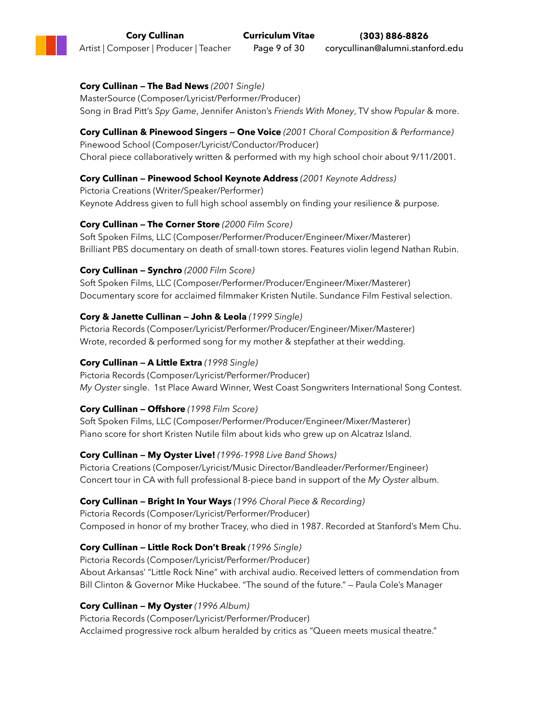### **Cory Cullinan — The Bad News** *(2001 Single)*

MasterSource (Composer/Lyricist/Performer/Producer) Song in Brad Pitt's *Spy Game*, Jennifer Aniston's *Friends With Money*, TV show *Popular* & more.

#### **Cory Cullinan & Pinewood Singers — One Voice** *(2001 Choral Composition & Performance)* Pinewood School (Composer/Lyricist/Conductor/Producer)

Choral piece collaboratively written & performed with my high school choir about 9/11/2001.

### **Cory Cullinan — Pinewood School Keynote Address** *(2001 Keynote Address)*

Pictoria Creations (Writer/Speaker/Performer) Keynote Address given to full high school assembly on finding your resilience & purpose.

### **Cory Cullinan — The Corner Store** *(2000 Film Score)*

Soft Spoken Films, LLC (Composer/Performer/Producer/Engineer/Mixer/Masterer) Brilliant PBS documentary on death of small-town stores. Features violin legend Nathan Rubin.

### **Cory Cullinan — Synchro** *(2000 Film Score)*

Soft Spoken Films, LLC (Composer/Performer/Producer/Engineer/Mixer/Masterer) Documentary score for acclaimed filmmaker Kristen Nutile. Sundance Film Festival selection.

### **Cory & Janette Cullinan — John & Leola** *(1999 Single)*

Pictoria Records (Composer/Lyricist/Performer/Producer/Engineer/Mixer/Masterer) Wrote, recorded & performed song for my mother & stepfather at their wedding.

### **Cory Cullinan — A Little Extra** *(1998 Single)*

Pictoria Records (Composer/Lyricist/Performer/Producer) *My Oyster* single. 1st Place Award Winner, West Coast Songwriters International Song Contest.

### **Cory Cullinan — Offshore** *(1998 Film Score)*

Soft Spoken Films, LLC (Composer/Performer/Producer/Engineer/Mixer/Masterer) Piano score for short Kristen Nutile film about kids who grew up on Alcatraz Island.

### **Cory Cullinan — My Oyster Live!** *(1996-1998 Live Band Shows)*

Pictoria Creations (Composer/Lyricist/Music Director/Bandleader/Performer/Engineer) Concert tour in CA with full professional 8-piece band in support of the *My Oyster* album.

### **Cory Cullinan — Bright In Your Ways** *(1996 Choral Piece & Recording)*

Pictoria Records (Composer/Lyricist/Performer/Producer) Composed in honor of my brother Tracey, who died in 1987. Recorded at Stanford's Mem Chu.

### **Cory Cullinan — Little Rock Don't Break** *(1996 Single)*

Pictoria Records (Composer/Lyricist/Performer/Producer) About Arkansas' "Little Rock Nine" with archival audio. Received letters of commendation from Bill Clinton & Governor Mike Huckabee. "The sound of the future." — Paula Cole's Manager

## **Cory Cullinan — My Oyster** *(1996 Album)*

Pictoria Records (Composer/Lyricist/Performer/Producer) Acclaimed progressive rock album heralded by critics as "Queen meets musical theatre."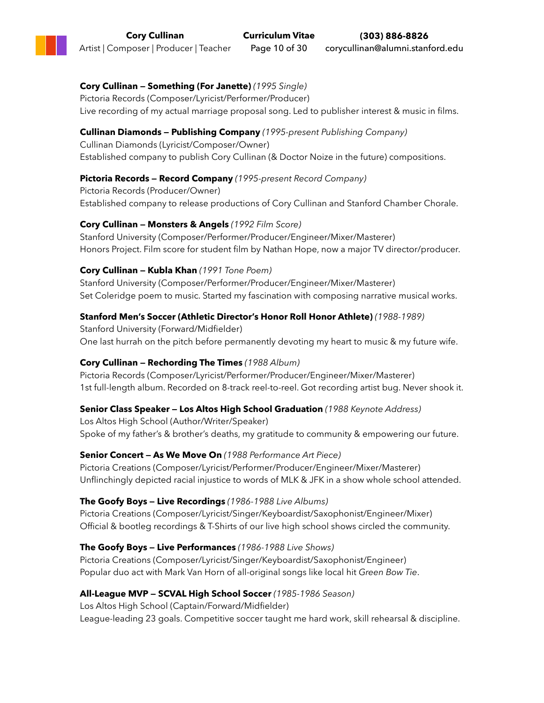#### **Cory Cullinan — Something (For Janette)** *(1995 Single)* Pictoria Records (Composer/Lyricist/Performer/Producer) Live recording of my actual marriage proposal song. Led to publisher interest & music in films.

### **Cullinan Diamonds — Publishing Company** *(1995-present Publishing Company)*

Cullinan Diamonds (Lyricist/Composer/Owner) Established company to publish Cory Cullinan (& Doctor Noize in the future) compositions.

### **Pictoria Records — Record Company** *(1995-present Record Company)*

Pictoria Records (Producer/Owner) Established company to release productions of Cory Cullinan and Stanford Chamber Chorale.

### **Cory Cullinan — Monsters & Angels** *(1992 Film Score)*

Stanford University (Composer/Performer/Producer/Engineer/Mixer/Masterer) Honors Project. Film score for student film by Nathan Hope, now a major TV director/producer.

### **Cory Cullinan — Kubla Khan** *(1991 Tone Poem)*

Stanford University (Composer/Performer/Producer/Engineer/Mixer/Masterer) Set Coleridge poem to music. Started my fascination with composing narrative musical works.

### **Stanford Men's Soccer (Athletic Director's Honor Roll Honor Athlete)** *(1988-1989)*

Stanford University (Forward/Midfielder) One last hurrah on the pitch before permanently devoting my heart to music & my future wife.

### **Cory Cullinan — Rechording The Times** *(1988 Album)*

Pictoria Records (Composer/Lyricist/Performer/Producer/Engineer/Mixer/Masterer) 1st full-length album. Recorded on 8-track reel-to-reel. Got recording artist bug. Never shook it.

### **Senior Class Speaker — Los Altos High School Graduation** *(1988 Keynote Address)*

Los Altos High School (Author/Writer/Speaker) Spoke of my father's & brother's deaths, my gratitude to community & empowering our future.

### **Senior Concert — As We Move On** *(1988 Performance Art Piece)*

Pictoria Creations (Composer/Lyricist/Performer/Producer/Engineer/Mixer/Masterer) Unflinchingly depicted racial injustice to words of MLK & JFK in a show whole school attended.

### **The Goofy Boys — Live Recordings** *(1986-1988 Live Albums)*

Pictoria Creations (Composer/Lyricist/Singer/Keyboardist/Saxophonist/Engineer/Mixer) Official & bootleg recordings & T-Shirts of our live high school shows circled the community.

### **The Goofy Boys — Live Performances** *(1986-1988 Live Shows)*

Pictoria Creations (Composer/Lyricist/Singer/Keyboardist/Saxophonist/Engineer) Popular duo act with Mark Van Horn of all-original songs like local hit *Green Bow Tie*.

### **All-League MVP — SCVAL High School Soccer** *(1985-1986 Season)*

Los Altos High School (Captain/Forward/Midfielder) League-leading 23 goals. Competitive soccer taught me hard work, skill rehearsal & discipline.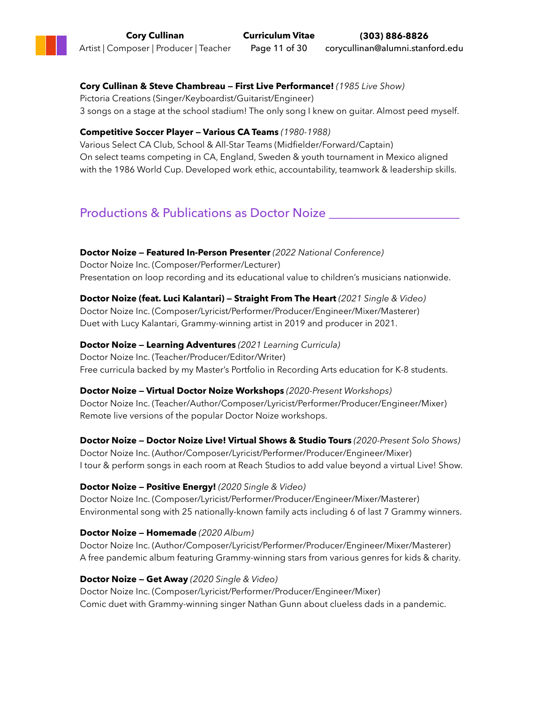### **Cory Cullinan & Steve Chambreau — First Live Performance!** *(1985 Live Show)*

Pictoria Creations (Singer/Keyboardist/Guitarist/Engineer) 3 songs on a stage at the school stadium! The only song I knew on guitar. Almost peed myself.

### **Competitive Soccer Player — Various CA Teams** *(1980-1988)*

Various Select CA Club, School & All-Star Teams (Midfielder/Forward/Captain) On select teams competing in CA, England, Sweden & youth tournament in Mexico aligned with the 1986 World Cup. Developed work ethic, accountability, teamwork & leadership skills.

## Productions & Publications as Doctor Noize

**Doctor Noize — Featured In-Person Presenter** *(2022 National Conference)* Doctor Noize Inc. (Composer/Performer/Lecturer) Presentation on loop recording and its educational value to children's musicians nationwide.

**Doctor Noize (feat. Luci Kalantari) — Straight From The Heart** *(2021 Single & Video)* Doctor Noize Inc. (Composer/Lyricist/Performer/Producer/Engineer/Mixer/Masterer) Duet with Lucy Kalantari, Grammy-winning artist in 2019 and producer in 2021.

**Doctor Noize — Learning Adventures** *(2021 Learning Curricula)* Doctor Noize Inc. (Teacher/Producer/Editor/Writer) Free curricula backed by my Master's Portfolio in Recording Arts education for K-8 students.

**Doctor Noize — Virtual Doctor Noize Workshops** *(2020-Present Workshops)* Doctor Noize Inc. (Teacher/Author/Composer/Lyricist/Performer/Producer/Engineer/Mixer) Remote live versions of the popular Doctor Noize workshops.

**Doctor Noize — Doctor Noize Live! Virtual Shows & Studio Tours** *(2020-Present Solo Shows)* Doctor Noize Inc. (Author/Composer/Lyricist/Performer/Producer/Engineer/Mixer) I tour & perform songs in each room at Reach Studios to add value beyond a virtual Live! Show.

#### **Doctor Noize — Positive Energy!** *(2020 Single & Video)*

Doctor Noize Inc. (Composer/Lyricist/Performer/Producer/Engineer/Mixer/Masterer) Environmental song with 25 nationally-known family acts including 6 of last 7 Grammy winners.

### **Doctor Noize — Homemade** *(2020 Album)*

Doctor Noize Inc. (Author/Composer/Lyricist/Performer/Producer/Engineer/Mixer/Masterer) A free pandemic album featuring Grammy-winning stars from various genres for kids & charity.

### **Doctor Noize — Get Away** *(2020 Single & Video)*

Doctor Noize Inc. (Composer/Lyricist/Performer/Producer/Engineer/Mixer) Comic duet with Grammy-winning singer Nathan Gunn about clueless dads in a pandemic.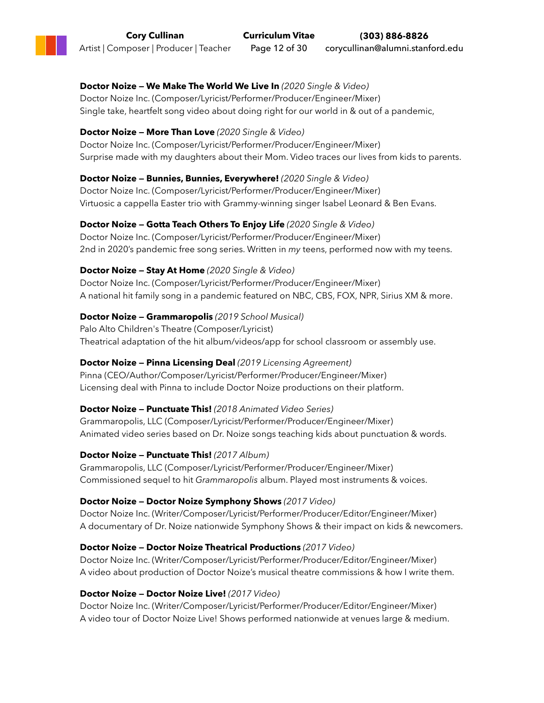#### **Doctor Noize — We Make The World We Live In** *(2020 Single & Video)* Doctor Noize Inc. (Composer/Lyricist/Performer/Producer/Engineer/Mixer) Single take, heartfelt song video about doing right for our world in & out of a pandemic,

### **Doctor Noize — More Than Love** *(2020 Single & Video)*

Doctor Noize Inc. (Composer/Lyricist/Performer/Producer/Engineer/Mixer) Surprise made with my daughters about their Mom. Video traces our lives from kids to parents.

### **Doctor Noize — Bunnies, Bunnies, Everywhere!** *(2020 Single & Video)*

Doctor Noize Inc. (Composer/Lyricist/Performer/Producer/Engineer/Mixer) Virtuosic a cappella Easter trio with Grammy-winning singer Isabel Leonard & Ben Evans.

### **Doctor Noize — Gotta Teach Others To Enjoy Life** *(2020 Single & Video)*

Doctor Noize Inc. (Composer/Lyricist/Performer/Producer/Engineer/Mixer) 2nd in 2020's pandemic free song series. Written in *my* teens, performed now with my teens.

### **Doctor Noize — Stay At Home** *(2020 Single & Video)*

Doctor Noize Inc. (Composer/Lyricist/Performer/Producer/Engineer/Mixer) A national hit family song in a pandemic featured on NBC, CBS, FOX, NPR, Sirius XM & more.

### **Doctor Noize — Grammaropolis** *(2019 School Musical)*

Palo Alto Children's Theatre (Composer/Lyricist) Theatrical adaptation of the hit album/videos/app for school classroom or assembly use.

### **Doctor Noize — Pinna Licensing Deal** *(2019 Licensing Agreement)*

Pinna (CEO/Author/Composer/Lyricist/Performer/Producer/Engineer/Mixer) Licensing deal with Pinna to include Doctor Noize productions on their platform.

### **Doctor Noize — Punctuate This!** *(2018 Animated Video Series)*

Grammaropolis, LLC (Composer/Lyricist/Performer/Producer/Engineer/Mixer) Animated video series based on Dr. Noize songs teaching kids about punctuation & words.

### **Doctor Noize — Punctuate This!** *(2017 Album)*

Grammaropolis, LLC (Composer/Lyricist/Performer/Producer/Engineer/Mixer) Commissioned sequel to hit *Grammaropolis* album. Played most instruments & voices.

### **Doctor Noize — Doctor Noize Symphony Shows** *(2017 Video)*

Doctor Noize Inc. (Writer/Composer/Lyricist/Performer/Producer/Editor/Engineer/Mixer) A documentary of Dr. Noize nationwide Symphony Shows & their impact on kids & newcomers.

### **Doctor Noize — Doctor Noize Theatrical Productions** *(2017 Video)*

Doctor Noize Inc. (Writer/Composer/Lyricist/Performer/Producer/Editor/Engineer/Mixer) A video about production of Doctor Noize's musical theatre commissions & how I write them.

### **Doctor Noize — Doctor Noize Live!** *(2017 Video)*

Doctor Noize Inc. (Writer/Composer/Lyricist/Performer/Producer/Editor/Engineer/Mixer) A video tour of Doctor Noize Live! Shows performed nationwide at venues large & medium.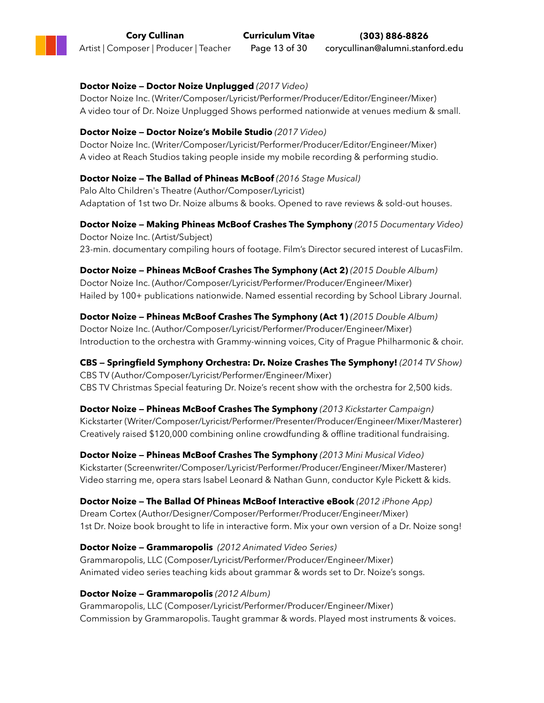#### **Doctor Noize — Doctor Noize Unplugged** *(2017 Video)*

Doctor Noize Inc. (Writer/Composer/Lyricist/Performer/Producer/Editor/Engineer/Mixer) A video tour of Dr. Noize Unplugged Shows performed nationwide at venues medium & small.

#### **Doctor Noize — Doctor Noize's Mobile Studio** *(2017 Video)*

Doctor Noize Inc. (Writer/Composer/Lyricist/Performer/Producer/Editor/Engineer/Mixer) A video at Reach Studios taking people inside my mobile recording & performing studio.

#### **Doctor Noize — The Ballad of Phineas McBoof** *(2016 Stage Musical)*

Palo Alto Children's Theatre (Author/Composer/Lyricist) Adaptation of 1st two Dr. Noize albums & books. Opened to rave reviews & sold-out houses.

**Doctor Noize — Making Phineas McBoof Crashes The Symphony** *(2015 Documentary Video)* Doctor Noize Inc. (Artist/Subject) 23-min. documentary compiling hours of footage. Film's Director secured interest of LucasFilm.

**Doctor Noize — Phineas McBoof Crashes The Symphony (Act 2)** *(2015 Double Album)* Doctor Noize Inc. (Author/Composer/Lyricist/Performer/Producer/Engineer/Mixer) Hailed by 100+ publications nationwide. Named essential recording by School Library Journal.

**Doctor Noize — Phineas McBoof Crashes The Symphony (Act 1)** *(2015 Double Album)* Doctor Noize Inc. (Author/Composer/Lyricist/Performer/Producer/Engineer/Mixer) Introduction to the orchestra with Grammy-winning voices, City of Prague Philharmonic & choir.

**CBS — Springfield Symphony Orchestra: Dr. Noize Crashes The Symphony!** *(2014 TV Show)* CBS TV (Author/Composer/Lyricist/Performer/Engineer/Mixer) CBS TV Christmas Special featuring Dr. Noize's recent show with the orchestra for 2,500 kids.

**Doctor Noize — Phineas McBoof Crashes The Symphony** *(2013 Kickstarter Campaign)* Kickstarter (Writer/Composer/Lyricist/Performer/Presenter/Producer/Engineer/Mixer/Masterer) Creatively raised \$120,000 combining online crowdfunding & offline traditional fundraising.

**Doctor Noize — Phineas McBoof Crashes The Symphony** *(2013 Mini Musical Video)* Kickstarter (Screenwriter/Composer/Lyricist/Performer/Producer/Engineer/Mixer/Masterer) Video starring me, opera stars Isabel Leonard & Nathan Gunn, conductor Kyle Pickett & kids.

**Doctor Noize — The Ballad Of Phineas McBoof Interactive eBook** *(2012 iPhone App)* Dream Cortex (Author/Designer/Composer/Performer/Producer/Engineer/Mixer) 1st Dr. Noize book brought to life in interactive form. Mix your own version of a Dr. Noize song!

**Doctor Noize — Grammaropolis** *(2012 Animated Video Series)* Grammaropolis, LLC (Composer/Lyricist/Performer/Producer/Engineer/Mixer) Animated video series teaching kids about grammar & words set to Dr. Noize's songs.

#### **Doctor Noize — Grammaropolis** *(2012 Album)*

Grammaropolis, LLC (Composer/Lyricist/Performer/Producer/Engineer/Mixer) Commission by Grammaropolis. Taught grammar & words. Played most instruments & voices.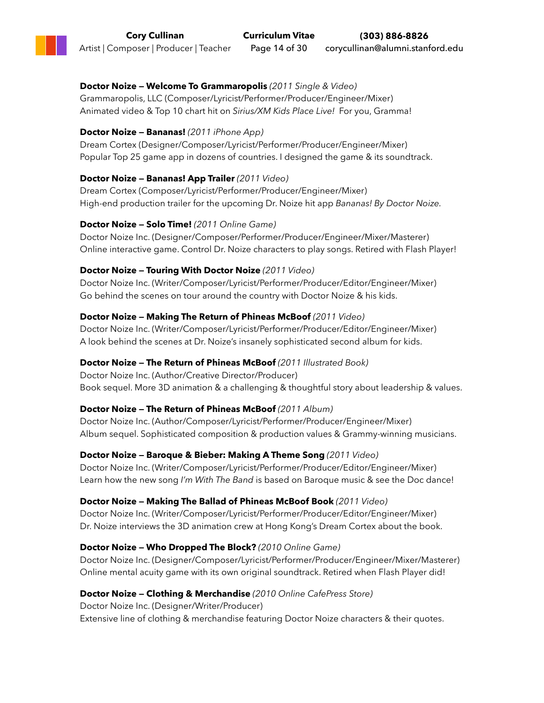#### **Doctor Noize — Welcome To Grammaropolis** *(2011 Single & Video)* Grammaropolis, LLC (Composer/Lyricist/Performer/Producer/Engineer/Mixer) Animated video & Top 10 chart hit on *Sirius/XM Kids Place Live!* For you, Gramma!

### **Doctor Noize — Bananas!** *(2011 iPhone App)*

Dream Cortex (Designer/Composer/Lyricist/Performer/Producer/Engineer/Mixer) Popular Top 25 game app in dozens of countries. I designed the game & its soundtrack.

#### **Doctor Noize — Bananas! App Trailer** *(2011 Video)*

Dream Cortex (Composer/Lyricist/Performer/Producer/Engineer/Mixer) High-end production trailer for the upcoming Dr. Noize hit app *Bananas! By Doctor Noize.*

#### **Doctor Noize — Solo Time!** *(2011 Online Game)*

Doctor Noize Inc. (Designer/Composer/Performer/Producer/Engineer/Mixer/Masterer) Online interactive game. Control Dr. Noize characters to play songs. Retired with Flash Player!

### **Doctor Noize — Touring With Doctor Noize** *(2011 Video)*

Doctor Noize Inc. (Writer/Composer/Lyricist/Performer/Producer/Editor/Engineer/Mixer) Go behind the scenes on tour around the country with Doctor Noize & his kids.

#### **Doctor Noize — Making The Return of Phineas McBoof** *(2011 Video)*

Doctor Noize Inc. (Writer/Composer/Lyricist/Performer/Producer/Editor/Engineer/Mixer) A look behind the scenes at Dr. Noize's insanely sophisticated second album for kids.

### **Doctor Noize — The Return of Phineas McBoof** *(2011 Illustrated Book)*

Doctor Noize Inc. (Author/Creative Director/Producer) Book sequel. More 3D animation & a challenging & thoughtful story about leadership & values.

### **Doctor Noize — The Return of Phineas McBoof** *(2011 Album)*

Doctor Noize Inc. (Author/Composer/Lyricist/Performer/Producer/Engineer/Mixer) Album sequel. Sophisticated composition & production values & Grammy-winning musicians.

**Doctor Noize — Baroque & Bieber: Making A Theme Song** *(2011 Video)*

Doctor Noize Inc. (Writer/Composer/Lyricist/Performer/Producer/Editor/Engineer/Mixer) Learn how the new song *I'm With The Band* is based on Baroque music & see the Doc dance!

### **Doctor Noize — Making The Ballad of Phineas McBoof Book** *(2011 Video)*

Doctor Noize Inc. (Writer/Composer/Lyricist/Performer/Producer/Editor/Engineer/Mixer) Dr. Noize interviews the 3D animation crew at Hong Kong's Dream Cortex about the book.

### **Doctor Noize — Who Dropped The Block?** *(2010 Online Game)*

Doctor Noize Inc. (Designer/Composer/Lyricist/Performer/Producer/Engineer/Mixer/Masterer) Online mental acuity game with its own original soundtrack. Retired when Flash Player did!

### **Doctor Noize — Clothing & Merchandise** *(2010 Online CafePress Store)*

Doctor Noize Inc. (Designer/Writer/Producer) Extensive line of clothing & merchandise featuring Doctor Noize characters & their quotes.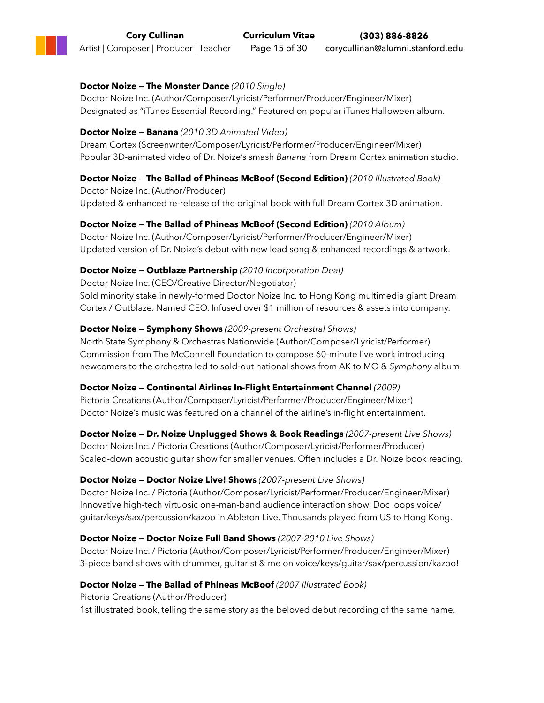### **Doctor Noize — The Monster Dance** *(2010 Single)*

Doctor Noize Inc. (Author/Composer/Lyricist/Performer/Producer/Engineer/Mixer) Designated as "iTunes Essential Recording." Featured on popular iTunes Halloween album.

#### **Doctor Noize — Banana** *(2010 3D Animated Video)*

Dream Cortex (Screenwriter/Composer/Lyricist/Performer/Producer/Engineer/Mixer) Popular 3D-animated video of Dr. Noize's smash *Banana* from Dream Cortex animation studio.

### **Doctor Noize — The Ballad of Phineas McBoof (Second Edition)** *(2010 Illustrated Book)*

Doctor Noize Inc. (Author/Producer) Updated & enhanced re-release of the original book with full Dream Cortex 3D animation.

#### **Doctor Noize — The Ballad of Phineas McBoof (Second Edition)** *(2010 Album)*

Doctor Noize Inc. (Author/Composer/Lyricist/Performer/Producer/Engineer/Mixer) Updated version of Dr. Noize's debut with new lead song & enhanced recordings & artwork.

### **Doctor Noize — Outblaze Partnership** *(2010 Incorporation Deal)*

Doctor Noize Inc. (CEO/Creative Director/Negotiator) Sold minority stake in newly-formed Doctor Noize Inc. to Hong Kong multimedia giant Dream Cortex / Outblaze. Named CEO. Infused over \$1 million of resources & assets into company.

### **Doctor Noize — Symphony Shows** *(2009-present Orchestral Shows)*

North State Symphony & Orchestras Nationwide (Author/Composer/Lyricist/Performer) Commission from The McConnell Foundation to compose 60-minute live work introducing newcomers to the orchestra led to sold-out national shows from AK to MO & *Symphony* album.

### **Doctor Noize — Continental Airlines In-Flight Entertainment Channel** *(2009)*

Pictoria Creations (Author/Composer/Lyricist/Performer/Producer/Engineer/Mixer) Doctor Noize's music was featured on a channel of the airline's in-flight entertainment.

#### **Doctor Noize — Dr. Noize Unplugged Shows & Book Readings** *(2007-present Live Shows)*

Doctor Noize Inc. / Pictoria Creations (Author/Composer/Lyricist/Performer/Producer) Scaled-down acoustic guitar show for smaller venues. Often includes a Dr. Noize book reading.

#### **Doctor Noize — Doctor Noize Live! Shows** *(2007-present Live Shows)*

Doctor Noize Inc. / Pictoria (Author/Composer/Lyricist/Performer/Producer/Engineer/Mixer) Innovative high-tech virtuosic one-man-band audience interaction show. Doc loops voice/ guitar/keys/sax/percussion/kazoo in Ableton Live. Thousands played from US to Hong Kong.

#### **Doctor Noize — Doctor Noize Full Band Shows** *(2007-2010 Live Shows)*

Doctor Noize Inc. / Pictoria (Author/Composer/Lyricist/Performer/Producer/Engineer/Mixer) 3-piece band shows with drummer, guitarist & me on voice/keys/guitar/sax/percussion/kazoo!

#### **Doctor Noize — The Ballad of Phineas McBoof** *(2007 Illustrated Book)*

Pictoria Creations (Author/Producer) 1st illustrated book, telling the same story as the beloved debut recording of the same name.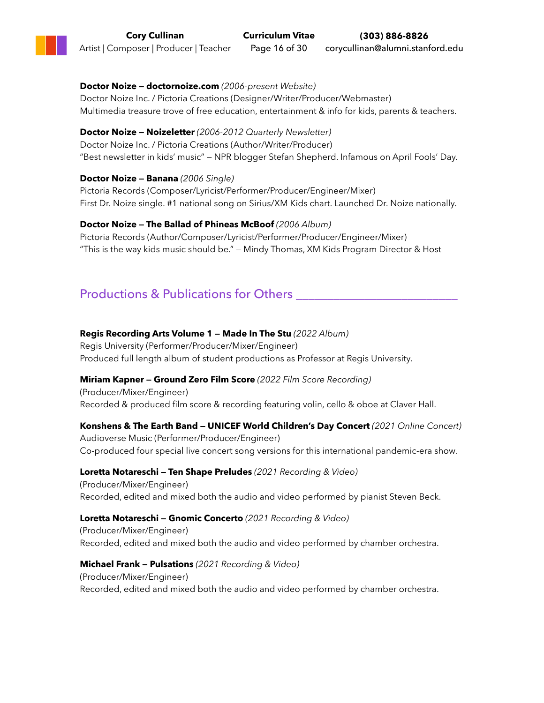**Doctor Noize — doctornoize.com** *(2006-present Website)* Doctor Noize Inc. / Pictoria Creations (Designer/Writer/Producer/Webmaster) Multimedia treasure trove of free education, entertainment & info for kids, parents & teachers.

**Doctor Noize — Noizeletter** *(2006-2012 Quarterly Newsletter)* Doctor Noize Inc. / Pictoria Creations (Author/Writer/Producer) "Best newsletter in kids' music" — NPR blogger Stefan Shepherd. Infamous on April Fools' Day.

**Doctor Noize — Banana** *(2006 Single)* Pictoria Records (Composer/Lyricist/Performer/Producer/Engineer/Mixer) First Dr. Noize single. #1 national song on Sirius/XM Kids chart. Launched Dr. Noize nationally.

**Doctor Noize — The Ballad of Phineas McBoof** *(2006 Album)* Pictoria Records (Author/Composer/Lyricist/Performer/Producer/Engineer/Mixer) "This is the way kids music should be." — Mindy Thomas, XM Kids Program Director & Host

## Productions & Publications for Others

### **Regis Recording Arts Volume 1 — Made In The Stu** *(2022 Album)*

Regis University (Performer/Producer/Mixer/Engineer) Produced full length album of student productions as Professor at Regis University.

### **Miriam Kapner — Ground Zero Film Score** *(2022 Film Score Recording)*

(Producer/Mixer/Engineer) Recorded & produced film score & recording featuring volin, cello & oboe at Claver Hall.

### **Konshens & The Earth Band — UNICEF World Children's Day Concert** *(2021 Online Concert)*

Audioverse Music (Performer/Producer/Engineer) Co-produced four special live concert song versions for this international pandemic-era show.

**Loretta Notareschi — Ten Shape Preludes** *(2021 Recording & Video)*

(Producer/Mixer/Engineer) Recorded, edited and mixed both the audio and video performed by pianist Steven Beck.

### **Loretta Notareschi — Gnomic Concerto** *(2021 Recording & Video)*

(Producer/Mixer/Engineer) Recorded, edited and mixed both the audio and video performed by chamber orchestra.

### **Michael Frank — Pulsations** *(2021 Recording & Video)*

(Producer/Mixer/Engineer) Recorded, edited and mixed both the audio and video performed by chamber orchestra.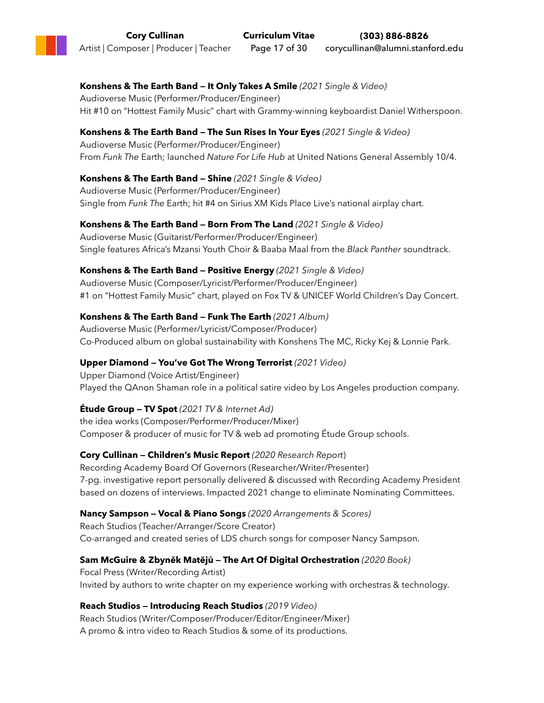### **Konshens & The Earth Band — It Only Takes A Smile** *(2021 Single & Video)*

Audioverse Music (Performer/Producer/Engineer) Hit #10 on "Hottest Family Music" chart with Grammy-winning keyboardist Daniel Witherspoon.

### **Konshens & The Earth Band — The Sun Rises In Your Eyes** *(2021 Single & Video)*

Audioverse Music (Performer/Producer/Engineer) From *Funk The* Earth; launched *Nature For Life Hub* at United Nations General Assembly 10/4.

### **Konshens & The Earth Band — Shine** *(2021 Single & Video)*

Audioverse Music (Performer/Producer/Engineer) Single from *Funk The* Earth; hit #4 on Sirius XM Kids Place Live's national airplay chart.

### **Konshens & The Earth Band — Born From The Land** *(2021 Single & Video)*

Audioverse Music (Guitarist/Performer/Producer/Engineer) Single features Africa's Mzansi Youth Choir & Baaba Maal from the *Black Panther* soundtrack.

### **Konshens & The Earth Band — Positive Energy** *(2021 Single & Video)*

Audioverse Music (Composer/Lyricist/Performer/Producer/Engineer) #1 on "Hottest Family Music" chart, played on Fox TV & UNICEF World Children's Day Concert.

### **Konshens & The Earth Band — Funk The Earth** *(2021 Album)*

Audioverse Music (Performer/Lyricist/Composer/Producer) Co-Produced album on global sustainability with Konshens The MC, Ricky Kej & Lonnie Park.

### **Upper Diamond — You've Got The Wrong Terrorist** *(2021 Video)*

Upper Diamond (Voice Artist/Engineer) Played the QAnon Shaman role in a political satire video by Los Angeles production company.

### **Étude Group — TV Spot** *(2021 TV & Internet Ad)*

the idea works (Composer/Performer/Producer/Mixer) Composer & producer of music for TV & web ad promoting Étude Group schools.

### **Cory Cullinan — Children's Music Report** *(2020 Research Report*)

Recording Academy Board Of Governors (Researcher/Writer/Presenter) 7-pg. investigative report personally delivered & discussed with Recording Academy President based on dozens of interviews. Impacted 2021 change to eliminate Nominating Committees.

### **Nancy Sampson — Vocal & Piano Songs** *(2020 Arrangements & Scores)*

Reach Studios (Teacher/Arranger/Score Creator) Co-arranged and created series of LDS church songs for composer Nancy Sampson.

### **Sam McGuire & Zbyněk Matějů — The Art Of Digital Orchestration** *(2020 Book)*

Focal Press (Writer/Recording Artist) Invited by authors to write chapter on my experience working with orchestras & technology.

### **Reach Studios — Introducing Reach Studios** *(2019 Video)*

Reach Studios (Writer/Composer/Producer/Editor/Engineer/Mixer) A promo & intro video to Reach Studios & some of its productions.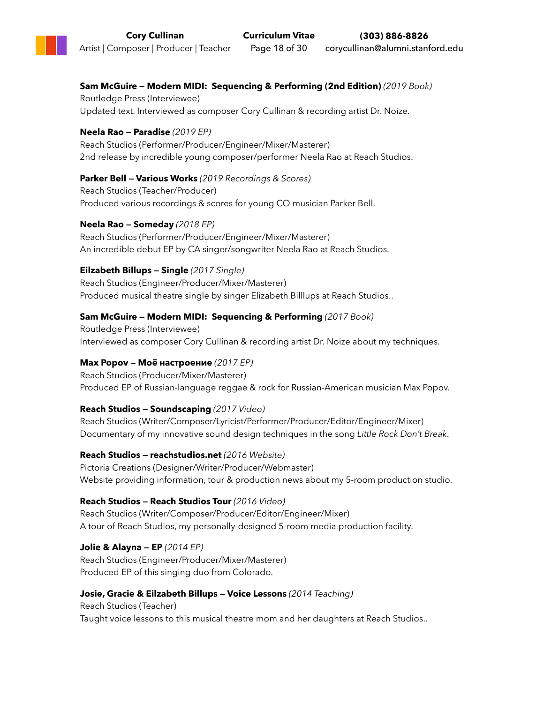### **Sam McGuire — Modern MIDI: Sequencing & Performing (2nd Edition)** *(2019 Book)*

Routledge Press (Interviewee) Updated text. Interviewed as composer Cory Cullinan & recording artist Dr. Noize.

### **Neela Rao — Paradise** *(2019 EP)*

Reach Studios (Performer/Producer/Engineer/Mixer/Masterer) 2nd release by incredible young composer/performer Neela Rao at Reach Studios.

### **Parker Bell — Various Works** *(2019 Recordings & Scores)*

Reach Studios (Teacher/Producer) Produced various recordings & scores for young CO musician Parker Bell.

### **Neela Rao — Someday** *(2018 EP)*

Reach Studios (Performer/Producer/Engineer/Mixer/Masterer) An incredible debut EP by CA singer/songwriter Neela Rao at Reach Studios.

### **Eilzabeth Billups — Single** *(2017 Single)*

Reach Studios (Engineer/Producer/Mixer/Masterer) Produced musical theatre single by singer Elizabeth Billlups at Reach Studios..

### **Sam McGuire — Modern MIDI: Sequencing & Performing** *(2017 Book)*

Routledge Press (Interviewee) Interviewed as composer Cory Cullinan & recording artist Dr. Noize about my techniques.

### **Max Popov — Moё настроение** *(2017 EP)*

Reach Studios (Producer/Mixer/Masterer) Produced EP of Russian-language reggae & rock for Russian-American musician Max Popov.

### **Reach Studios — Soundscaping** *(2017 Video)*

Reach Studios (Writer/Composer/Lyricist/Performer/Producer/Editor/Engineer/Mixer) Documentary of my innovative sound design techniques in the song *Little Rock Don't Break*.

### **Reach Studios — reachstudios.net** *(2016 Website)*

Pictoria Creations (Designer/Writer/Producer/Webmaster) Website providing information, tour & production news about my 5-room production studio.

### **Reach Studios — Reach Studios Tour** *(2016 Video)*

Reach Studios (Writer/Composer/Producer/Editor/Engineer/Mixer) A tour of Reach Studios, my personally-designed 5-room media production facility.

#### **Jolie & Alayna — EP** *(2014 EP)* Reach Studios (Engineer/Producer/Mixer/Masterer) Produced EP of this singing duo from Colorado.

### **Josie, Gracie & Eilzabeth Billups — Voice Lessons** *(2014 Teaching)*

Reach Studios (Teacher) Taught voice lessons to this musical theatre mom and her daughters at Reach Studios..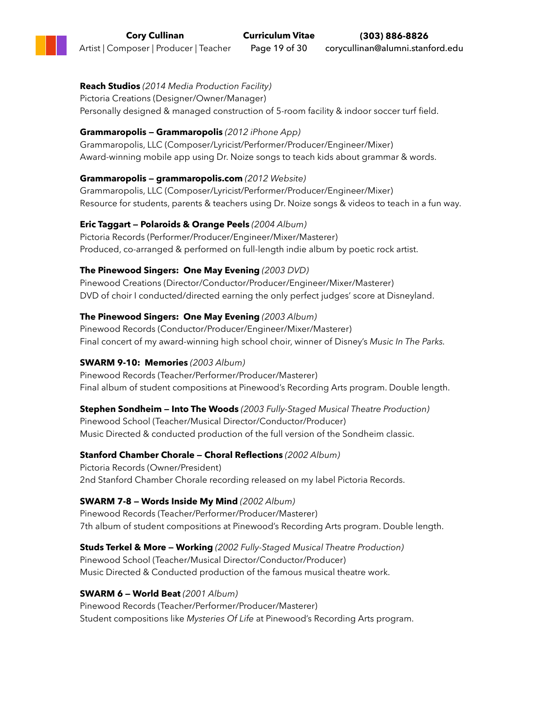### **Reach Studios** *(2014 Media Production Facility)*

Pictoria Creations (Designer/Owner/Manager) Personally designed & managed construction of 5-room facility & indoor soccer turf field.

### **Grammaropolis — Grammaropolis** *(2012 iPhone App)*

Grammaropolis, LLC (Composer/Lyricist/Performer/Producer/Engineer/Mixer) Award-winning mobile app using Dr. Noize songs to teach kids about grammar & words.

### **Grammaropolis — grammaropolis.com** *(2012 Website)*

Grammaropolis, LLC (Composer/Lyricist/Performer/Producer/Engineer/Mixer) Resource for students, parents & teachers using Dr. Noize songs & videos to teach in a fun way.

### **Eric Taggart — Polaroids & Orange Peels** *(2004 Album)*

Pictoria Records (Performer/Producer/Engineer/Mixer/Masterer) Produced, co-arranged & performed on full-length indie album by poetic rock artist.

### **The Pinewood Singers: One May Evening** *(2003 DVD)*

Pinewood Creations (Director/Conductor/Producer/Engineer/Mixer/Masterer) DVD of choir I conducted/directed earning the only perfect judges' score at Disneyland.

### **The Pinewood Singers: One May Evening** *(2003 Album)*

Pinewood Records (Conductor/Producer/Engineer/Mixer/Masterer) Final concert of my award-winning high school choir, winner of Disney's *Music In The Parks.*

### **SWARM 9-10: Memories** *(2003 Album)*

Pinewood Records (Teacher/Performer/Producer/Masterer) Final album of student compositions at Pinewood's Recording Arts program. Double length.

**Stephen Sondheim — Into The Woods** *(2003 Fully-Staged Musical Theatre Production)* Pinewood School (Teacher/Musical Director/Conductor/Producer) Music Directed & conducted production of the full version of the Sondheim classic.

### **Stanford Chamber Chorale — Choral Reflections** *(2002 Album)*

Pictoria Records (Owner/President) 2nd Stanford Chamber Chorale recording released on my label Pictoria Records.

### **SWARM 7-8 — Words Inside My Mind** *(2002 Album)*

Pinewood Records (Teacher/Performer/Producer/Masterer) 7th album of student compositions at Pinewood's Recording Arts program. Double length.

**Studs Terkel & More — Working** *(2002 Fully-Staged Musical Theatre Production)* Pinewood School (Teacher/Musical Director/Conductor/Producer) Music Directed & Conducted production of the famous musical theatre work.

### **SWARM 6 — World Beat** *(2001 Album)*

Pinewood Records (Teacher/Performer/Producer/Masterer) Student compositions like *Mysteries Of Life* at Pinewood's Recording Arts program.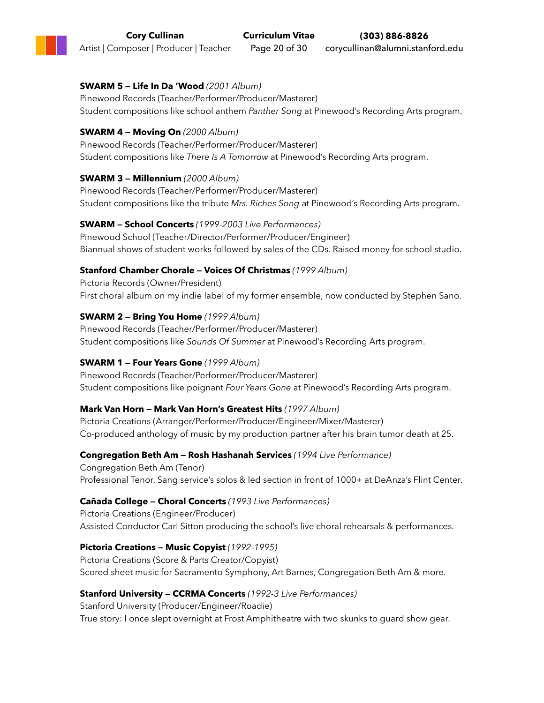### **SWARM 5 — Life In Da 'Wood** *(2001 Album)*

Pinewood Records (Teacher/Performer/Producer/Masterer) Student compositions like school anthem *Panther Song* at Pinewood's Recording Arts program.

### **SWARM 4 — Moving On** *(2000 Album)*

Pinewood Records (Teacher/Performer/Producer/Masterer) Student compositions like *There Is A Tomorrow* at Pinewood's Recording Arts program.

### **SWARM 3 — Millennium** *(2000 Album)*

Pinewood Records (Teacher/Performer/Producer/Masterer) Student compositions like the tribute *Mrs. Riches Song* at Pinewood's Recording Arts program.

### **SWARM — School Concerts** *(1999-2003 Live Performances)*

Pinewood School (Teacher/Director/Performer/Producer/Engineer) Biannual shows of student works followed by sales of the CDs. Raised money for school studio.

### **Stanford Chamber Chorale — Voices Of Christmas** *(1999 Album)*

Pictoria Records (Owner/President) First choral album on my indie label of my former ensemble, now conducted by Stephen Sano.

### **SWARM 2 — Bring You Home** *(1999 Album)*

Pinewood Records (Teacher/Performer/Producer/Masterer) Student compositions like *Sounds Of Summer* at Pinewood's Recording Arts program.

### **SWARM 1 — Four Years Gone** *(1999 Album)*

Pinewood Records (Teacher/Performer/Producer/Masterer) Student compositions like poignant *Four Years Gone* at Pinewood's Recording Arts program.

### **Mark Van Horn — Mark Van Horn's Greatest Hits** *(1997 Album)*

Pictoria Creations (Arranger/Performer/Producer/Engineer/Mixer/Masterer) Co-produced anthology of music by my production partner after his brain tumor death at 25.

### **Congregation Beth Am — Rosh Hashanah Services** *(1994 Live Performance)*

Congregation Beth Am (Tenor) Professional Tenor. Sang service's solos & led section in front of 1000+ at DeAnza's Flint Center.

### **Cañada College — Choral Concerts** *(1993 Live Performances)*

Pictoria Creations (Engineer/Producer) Assisted Conductor Carl Sitton producing the school's live choral rehearsals & performances.

### **Pictoria Creations — Music Copyist** *(1992-1995)*

Pictoria Creations (Score & Parts Creator/Copyist) Scored sheet music for Sacramento Symphony, Art Barnes, Congregation Beth Am & more.

### **Stanford University — CCRMA Concerts** *(1992-3 Live Performances)*

Stanford University (Producer/Engineer/Roadie) True story: I once slept overnight at Frost Amphitheatre with two skunks to guard show gear.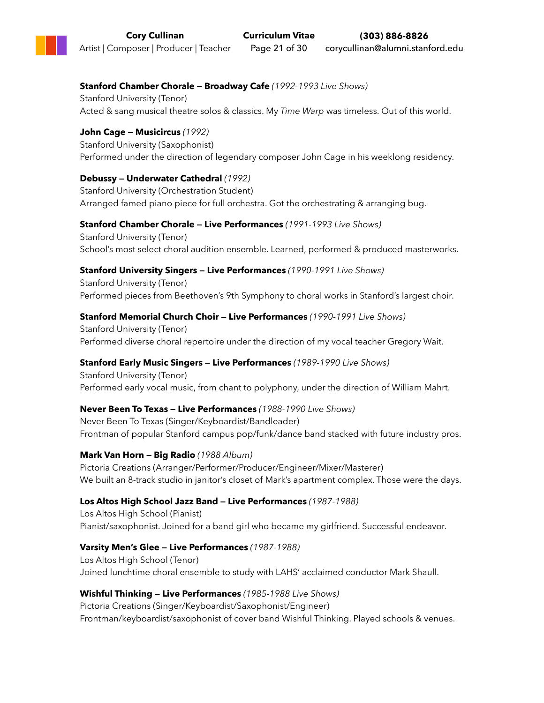### **Stanford Chamber Chorale — Broadway Cafe** *(1992-1993 Live Shows)*

Stanford University (Tenor) Acted & sang musical theatre solos & classics. My *Time Warp* was timeless. Out of this world.

### **John Cage — Musicircus** *(1992)*

Stanford University (Saxophonist) Performed under the direction of legendary composer John Cage in his weeklong residency.

### **Debussy — Underwater Cathedral** *(1992)*

Stanford University (Orchestration Student) Arranged famed piano piece for full orchestra. Got the orchestrating & arranging bug.

### **Stanford Chamber Chorale — Live Performances** *(1991-1993 Live Shows)*

Stanford University (Tenor) School's most select choral audition ensemble. Learned, performed & produced masterworks.

### **Stanford University Singers — Live Performances** *(1990-1991 Live Shows)*

Stanford University (Tenor) Performed pieces from Beethoven's 9th Symphony to choral works in Stanford's largest choir.

### **Stanford Memorial Church Choir — Live Performances** *(1990-1991 Live Shows)*

Stanford University (Tenor) Performed diverse choral repertoire under the direction of my vocal teacher Gregory Wait.

### **Stanford Early Music Singers — Live Performances** *(1989-1990 Live Shows)*

Stanford University (Tenor) Performed early vocal music, from chant to polyphony, under the direction of William Mahrt.

### **Never Been To Texas — Live Performances** *(1988-1990 Live Shows)*

Never Been To Texas (Singer/Keyboardist/Bandleader) Frontman of popular Stanford campus pop/funk/dance band stacked with future industry pros.

### **Mark Van Horn — Big Radio** *(1988 Album)*

Pictoria Creations (Arranger/Performer/Producer/Engineer/Mixer/Masterer) We built an 8-track studio in janitor's closet of Mark's apartment complex. Those were the days.

### **Los Altos High School Jazz Band — Live Performances** *(1987-1988)*

Los Altos High School (Pianist) Pianist/saxophonist. Joined for a band girl who became my girlfriend. Successful endeavor.

### **Varsity Men's Glee — Live Performances** *(1987-1988)*

Los Altos High School (Tenor) Joined lunchtime choral ensemble to study with LAHS' acclaimed conductor Mark Shaull.

### **Wishful Thinking — Live Performances** *(1985-1988 Live Shows)*

Pictoria Creations (Singer/Keyboardist/Saxophonist/Engineer) Frontman/keyboardist/saxophonist of cover band Wishful Thinking. Played schools & venues.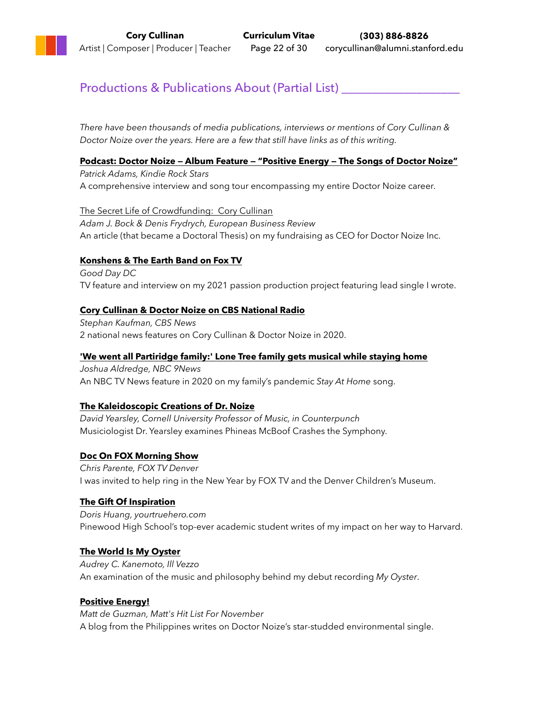## Productions & Publications About (Partial List) \_\_\_\_\_\_\_\_\_\_\_\_\_\_\_\_\_\_\_\_\_\_\_\_\_\_\_\_\_\_\_\_

*There have been thousands of media publications, interviews or mentions of Cory Cullinan & Doctor Noize over the years. Here are a few that still have links as of this writing.*

### **[Podcast: Doctor Noize — Album Feature — "Positive Energy — The Songs of Doctor Noize"](https://kindierockstars.buzzsprout.com/1809561/10368928-season-2-ep-52-doctor-noize-album-feature-positive-energy-the-songs-of-doctor-noize)**

*Patrick Adams, Kindie Rock Stars* A comprehensive interview and song tour encompassing my entire Doctor Noize career.

[The Secret Life of Crowdfunding: Cory Cullinan](http://www.europeanbusinessreview.com/the-secret-life-of-crowdfunding/) *Adam J. Bock & Denis Frydrych, European Business Review* An article (that became a Doctoral Thesis) on my fundraising as CEO for Doctor Noize Inc.

### **[Konshens & The Earth Band on Fox TV](https://www.youtube.com/watch?v=AwPdaa-eUz8)**

*Good Day DC* TV feature and interview on my 2021 passion production project featuring lead single I wrote.

### **[Cory Cullinan & Doctor Noize on CBS National Radio](https://www.doctornoize.com/doctor-noize-on-cbs-2/)**

*Stephan Kaufman, CBS News* 2 national news features on Cory Cullinan & Doctor Noize in 2020.

### **['We went all Partiridge family:' Lone Tree family gets musical while staying home](https://www.9news.com/article/features/stay-at-home-song/73-da00d320-cd14-4ba2-998d-3afb82c7d780)**

*Joshua Aldredge, NBC 9News* An NBC TV News feature in 2020 on my family's pandemic *Stay At Home* song.

### **[The Kaleidoscopic Creations of Dr. Noize](http://www.counterpunch.org/2016/07/15/the-kaleidoscopic-creations-of-dr-noize/)**

*David Yearsley, Cornell University Professor of Music, in Counterpunch* Musiciologist Dr. Yearsley examines Phineas McBoof Crashes the Symphony.

### **[Doc On FOX Morning Show](https://www.doctornoize.com/doc-on-fox-morning-show-denver/)**

*Chris Parente, FOX TV Denver* I was invited to help ring in the New Year by FOX TV and the Denver Children's Museum.

### **The Gift Of [Inspiration](http://doctornoize.flywheelsites.com/the-gift-of-inspiration/)**

*Doris Huang, yourtruehero.com* Pinewood High School's top-ever academic student writes of my impact on her way to Harvard.

### **[The World Is My Oyster](http://corycullinan.com/buzz/the-world-is-my-oyster/)**

*Audrey C. Kanemoto, Ill Vezzo* An examination of the music and philosophy behind my debut recording *My Oyster*.

### **[Positive Energy!](https://mattdg204.wixsite.com/mattsrandomthoughts/post/kindie-hit-list-november-2020)**

*Matt de Guzman, Matt's Hit List For November* A blog from the Philippines writes on Doctor Noize's star-studded environmental single.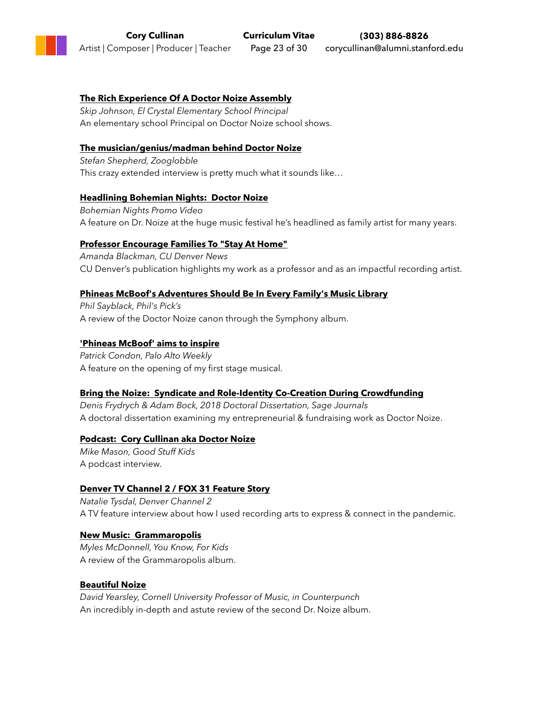### **[The Rich Experience Of A Doctor Noize Assembly](http://doctornoize.flywheelsites.com/doctor-noize-assembly/)**

*Skip Johnson, El Crystal Elementary School Principal* An elementary school Principal on Doctor Noize school shows.

#### **[The musician/genius/madman behind Doctor Noize](http://www.zooglobble.com/blog/2011/2/3/interview-cory-cullinan-doctor-noize.html)**

*Stefan Shepherd, Zooglobble* This crazy extended interview is pretty much what it sounds like…

#### **[Headlining Bohemian Nights: Doctor Noize](https://www.doctornoize.com/doctor-noize-headlines-bohemian-nights/)**

*Bohemian Nights Promo Video* A feature on Dr. Noize at the huge music festival he's headlined as family artist for many years.

#### **[Professor Encourage Families To "Stay At Home"](https://news.ucdenver.edu/cam-faculty-records-stay-at-home-song-with-family/)**

*Amanda Blackman, CU Denver News* CU Denver's publication highlights my work as a professor and as an impactful recording artist.

#### **[Phineas McBoof's Adventures Should Be In Every Family's Music Library](https://philspicks.wordpress.com/2016/08/07/phineas-mcboofs-adventures-should-be-in-every-familys-music-library/)**

*Phil Sayblack, Phil's Pick's* A review of the Doctor Noize canon through the Symphony album.

#### **['Phineas McBoof' aims to inspire](http://www.paloaltoonline.com/news/2016/11/02/phineas-mcboof-aims-to-inspire)**

*Patrick Condon, Palo Alto Weekly* A feature on the opening of my first stage musical.

#### **[Bring the Noize: Syndicate and Role-Identity Co-Creation During Crowdfunding](https://journals.sagepub.com/doi/full/10.1177/2158244018805808)**

*Denis Frydrych & Adam Bock, 2018 Doctoral Dissertation, Sage Journals* A doctoral dissertation examining my entrepreneurial & fundraising work as Doctor Noize.

#### **[Podcast: Cory Cullinan aka Doctor Noize](http://goodstuffpod.com/episode-47-cory-cullinan-aka-doctor-noize/)**

*Mike Mason, Good Stuff Kids* A podcast interview.

#### **[Denver TV Channel 2 / FOX 31 Feature Story](https://www.doctornoize.com/denver-channel-2-story/)**

*Natalie Tysdal, Denver Channel 2* A TV feature interview about how I used recording arts to express & connect in the pandemic.

#### **[New Music: Grammaropolis](http://youknowforkidsblog.blogspot.com/2012/10/new-music-grammaropolis.html)**

*Myles McDonnell, You Know, For Kids* A review of the Grammaropolis album.

#### **[Beautiful Noize](http://www.counterpunch.org/2013/08/23/beautiful-noize/)**

*David Yearsley, Cornell University Professor of Music, in Counterpunch* An incredibly in-depth and astute review of the second Dr. Noize album.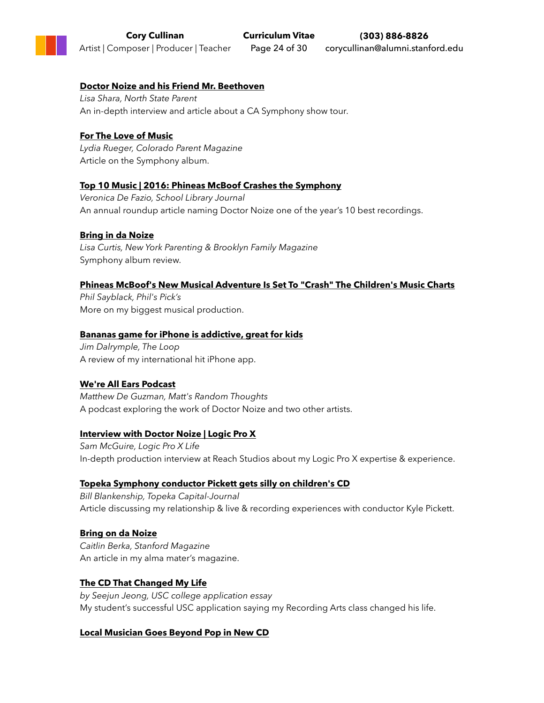### **[Doctor Noize and his Friend Mr. Beethoven](http://doctornoize.flywheelsites.com/shara-article/)**

*Lisa Shara, North State Parent* An in-depth interview and article about a CA Symphony show tour.

### **[For The Love of Music](https://www.coloradoparent.com/for-the-love-of-music/)**

*Lydia Rueger, Colorado Parent Magazine* Article on the Symphony album.

#### **[Top 10 Music | 2016: Phineas McBoof Crashes the Symphony](https://www.slj.com/?detailStory=top-10-music-2016)**

*Veronica De Fazio, School Library Journal* An annual roundup article naming Doctor Noize one of the year's 10 best recordings.

### **[Bring in da Noize](http://www.nyparenting.com/stories/2016/8/fp-nn-phineasmcboof-2016-08.html)**

*Lisa Curtis, New York Parenting & Brooklyn Family Magazine* Symphony album review.

#### **[Phineas McBoof's New Musical Adventure Is Set To "Crash" The Children's Music Charts](https://philspicks.wordpress.com/2016/07/11/phineas-mcboofs-new-musical-adventure-is-set-to-crash-the-childrens-music-charts/)**

*Phil Sayblack, Phil's Pick's* More on my biggest musical production.

#### **[Bananas game for iPhone is addictive, great for kids](http://www.loopinsight.com/2010/12/22/bananas-game-for-iphone-is-addictive-great-for-kids/)**

*Jim Dalrymple, The Loop* A review of my international hit iPhone app.

### **[We're All Ears Podcast](https://drive.google.com/file/d/11Y39NZEZfyaL_iwfK-ThznR1I-WcFc-I/view)**

*Matthew De Guzman, Matt's Random Thoughts* A podcast exploring the work of Doctor Noize and two other artists.

#### **[Interview with Doctor Noize | Logic Pro X](https://www.youtube.com/watch?v=cWuomsuUh_o&feature=emb_logo)**

*Sam McGuire, Logic Pro X Life* In-depth production interview at Reach Studios about my Logic Pro X expertise & experience.

### **[Topeka Symphony conductor Pickett gets silly on children's CD](https://www.cjonline.com/life/arts-entertainment/2016-07-16/topeka-symphony-conductor-pickett-gets-silly-childrens-cd)**

*Bill Blankenship, Topeka Capital-Journal* Article discussing my relationship & live & recording experiences with conductor Kyle Pickett.

### **[Bring on da Noize](http://alumni.stanford.edu/get/page/magazine/article/?article_id=31703)**

*Caitlin Berka, Stanford Magazine* An article in my alma mater's magazine.

### **[The CD That Changed My Life](http://doctornoize.flywheelsites.com/the-cd-that-changed-my-life/)**

*by Seejun Jeong, USC college application essay* My student's successful USC application saying my Recording Arts class changed his life.

### **[Local Musician Goes Beyond Pop in New CD](http://corycullinan.com/buzz/palo-alto-daily-news-article/)**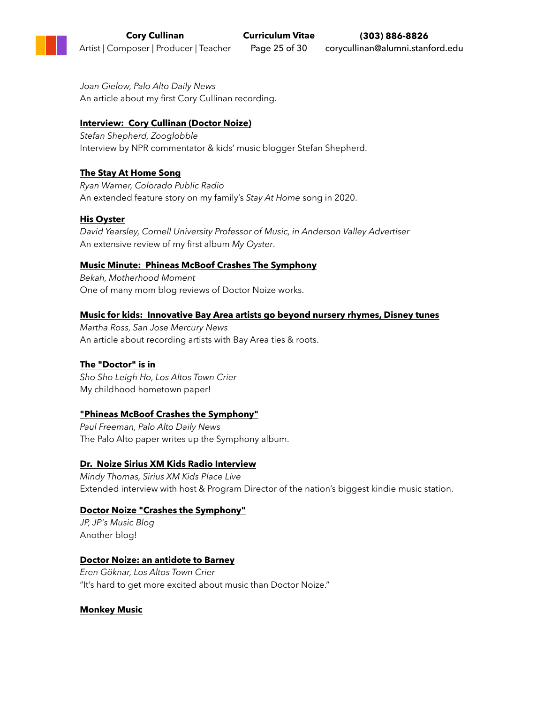*Joan Gielow, Palo Alto Daily News* An article about my first Cory Cullinan recording.

#### **[Interview: Cory Cullinan \(Doctor Noize\)](http://www.zooglobble.com/blog/2017/1/9/interview-cory-cullinan-doctor-noize)**

*Stefan Shepherd, Zooglobble* Interview by NPR commentator & kids' music blogger Stefan Shepherd.

### **[The Stay At Home Song](https://www.doctornoize.com/cprs-stay-at-home-story/)**

*Ryan Warner, Colorado Public Radio* An extended feature story on my family's *Stay At Home* song in 2020.

### **[His Oyster](http://corycullinan.com/buzz/yearsley-review/)**

*David Yearsley, Cornell University Professor of Music, in Anderson Valley Advertiser* An extensive review of my first album *My Oyster*.

#### **[Music Minute: Phineas McBoof Crashes The Symphony](http://motherhood-moment.blogspot.com/2016/07/music-minute-phineas-mcboof-crashes.html)**

*Bekah, Motherhood Moment* One of many mom blog reviews of Doctor Noize works.

#### **[Music for kids: Innovative Bay Area artists go beyond nursery rhymes, Disney tunes](http://www.mercurynews.com/2016/07/05/music-for-kids-innovative-bay-area-artists-go-beyond-nursery-rhymes-disney-tunes/)**

*Martha Ross, San Jose Mercury News* An article about recording artists with Bay Area ties & roots.

### **[The "Doctor" is in](http://www.losaltosonline.com/news/sections/stepping-out/53235-the-doctor-is-in)**

*Sho Sho Leigh Ho, Los Altos Town Crier* My childhood hometown paper!

#### **["Phineas McBoof Crashes the Symphony"](http://www.mercurynews.com/2016/06/22/phineas-mcboof-crashes-the-symphony/)**

*Paul Freeman, Palo Alto Daily News* The Palo Alto paper writes up the Symphony album.

### **[Dr. Noize Sirius XM Kids Radio Interview](https://www.doctornoize.com/xm-kids-radio-interview/)**

*Mindy Thomas, Sirius XM Kids Place Live* Extended interview with host & Program Director of the nation's biggest kindie music station.

### **[Doctor Noize "Crashes the Symphony"](http://jpsmusicblog.blogspot.com/2016/06/cd-review-hollow-trees-welcome-you-with.html)**

*JP, JP's Music Blog* Another blog!

#### **[Doctor Noize: an antidote to Barney](http://www.losaltosonline.com/special-sections2/sections/your-kids/41122-J42659)**

*Eren Göknar, Los Altos Town Crier* "It's hard to get more excited about music than Doctor Noize."

#### **[Monkey Music](http://www.counterpunch.org/2009/04/17/monkey-music/)**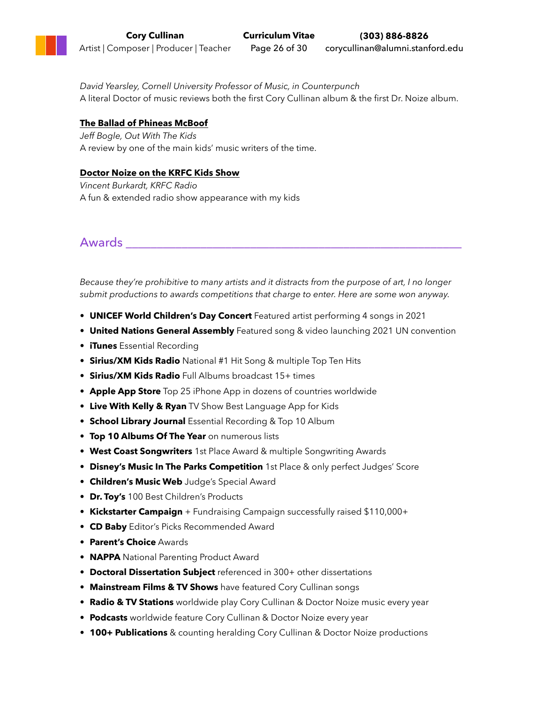*David Yearsley, Cornell University Professor of Music, in Counterpunch* A literal Doctor of music reviews both the first Cory Cullinan album & the first Dr. Noize album.

#### **[The Ballad of Phineas McBoof](http://owtk.com/2007/07/the-ballad-of-phineas-mcboof/)**

*Jeff Bogle, Out With The Kids* A review by one of the main kids' music writers of the time.

#### **[Doctor Noize on the KRFC Kids Show](https://www.doctornoize.com/dr-noize-on-the-krfc-kids-show-b/)**

*Vincent Burkardt, KRFC Radio* A fun & extended radio show appearance with my kids

Awards \_\_\_\_\_\_\_\_\_\_\_\_\_\_\_\_\_\_\_\_\_\_\_\_\_\_\_\_\_\_\_\_\_\_\_\_\_\_\_\_\_\_\_\_\_\_\_\_\_\_\_\_\_\_

*Because they're prohibitive to many artists and it distracts from the purpose of art, I no longer submit productions to awards competitions that charge to enter. Here are some won anyway.*

- **UNICEF World Children's Day Concert** Featured artist performing 4 songs in 2021
- **United Nations General Assembly** Featured song & video launching 2021 UN convention
- **iTunes** Essential Recording
- **• Sirius/XM Kids Radio** National #1 Hit Song & multiple Top Ten Hits
- **• Sirius/XM Kids Radio** Full Albums broadcast 15+ times
- **• Apple App Store** Top 25 iPhone App in dozens of countries worldwide
- **• Live With Kelly & Ryan** TV Show Best Language App for Kids
- **School Library Journal** Essential Recording & Top 10 Album
- **Top 10 Albums Of The Year** on numerous lists
- **West Coast Songwriters** 1st Place Award & multiple Songwriting Awards
- **Disney's Music In The Parks Competition** 1st Place & only perfect Judges' Score
- **Children's Music Web** Judge's Special Award
- **Dr. Toy's** 100 Best Children's Products
- **• Kickstarter Campaign** + Fundraising Campaign successfully raised \$110,000+
- **CD Baby** Editor's Picks Recommended Award
- **Parent's Choice** Awards
- **NAPPA** National Parenting Product Award
- **• Doctoral Dissertation Subject** referenced in 300+ other dissertations
- **• Mainstream Films & TV Shows** have featured Cory Cullinan songs
- **Radio & TV Stations** worldwide play Cory Cullinan & Doctor Noize music every year
- **Podcasts** worldwide feature Cory Cullinan & Doctor Noize every year
- **100+ Publications** & counting heralding Cory Cullinan & Doctor Noize productions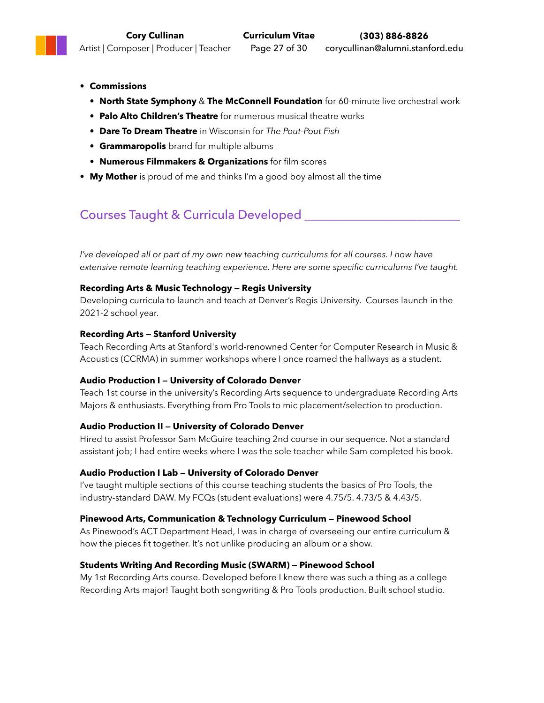- **• Commissions**
	- **• North State Symphony** & **The McConnell Foundation** for 60-minute live orchestral work
	- **• Palo Alto Children's Theatre** for numerous musical theatre works
	- **• Dare To Dream Theatre** in Wisconsin for *The Pout-Pout Fish*
	- **• Grammaropolis** brand for multiple albums
	- **• Numerous Filmmakers & Organizations** for film scores
- **• My Mother** is proud of me and thinks I'm a good boy almost all the time

# Courses Taught & Curricula Developed \_\_\_\_\_\_\_\_\_\_\_\_\_\_\_\_\_\_\_\_\_\_\_\_\_

*I've developed all or part of my own new teaching curriculums for all courses. I now have extensive remote learning teaching experience. Here are some specific curriculums I've taught.*

#### **Recording Arts & Music Technology — Regis University**

Developing curricula to launch and teach at Denver's Regis University. Courses launch in the 2021-2 school year.

#### **Recording Arts — Stanford University**

Teach Recording Arts at Stanford's world-renowned Center for Computer Research in Music & Acoustics (CCRMA) in summer workshops where I once roamed the hallways as a student.

### **Audio Production I — University of Colorado Denver**

Teach 1st course in the university's Recording Arts sequence to undergraduate Recording Arts Majors & enthusiasts. Everything from Pro Tools to mic placement/selection to production.

### **Audio Production II — University of Colorado Denver**

Hired to assist Professor Sam McGuire teaching 2nd course in our sequence. Not a standard assistant job; I had entire weeks where I was the sole teacher while Sam completed his book.

#### **Audio Production I Lab — University of Colorado Denver**

I've taught multiple sections of this course teaching students the basics of Pro Tools, the industry-standard DAW. My FCQs (student evaluations) were 4.75/5. 4.73/5 & 4.43/5.

### **Pinewood Arts, Communication & Technology Curriculum — Pinewood School**

As Pinewood's ACT Department Head, I was in charge of overseeing our entire curriculum & how the pieces fit together. It's not unlike producing an album or a show.

### **Students Writing And Recording Music (SWARM) — Pinewood School**

My 1st Recording Arts course. Developed before I knew there was such a thing as a college Recording Arts major! Taught both songwriting & Pro Tools production. Built school studio.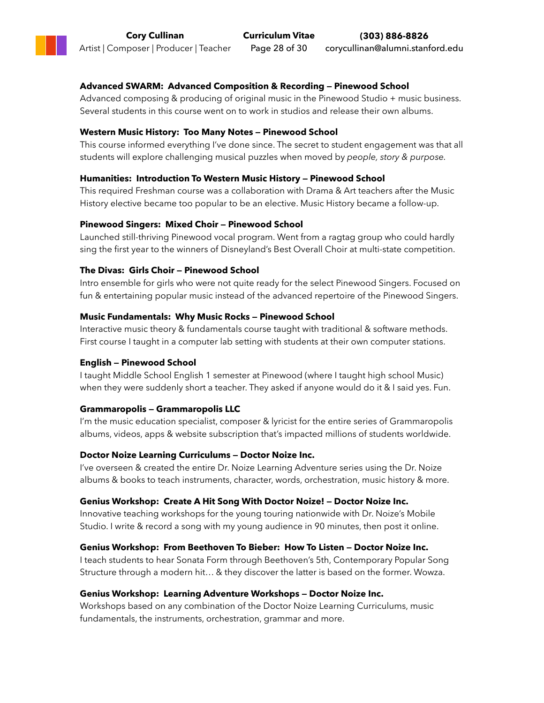### **Advanced SWARM: Advanced Composition & Recording — Pinewood School**

Advanced composing & producing of original music in the Pinewood Studio + music business. Several students in this course went on to work in studios and release their own albums.

#### **Western Music History: Too Many Notes — Pinewood School**

This course informed everything I've done since. The secret to student engagement was that all students will explore challenging musical puzzles when moved by *people, story & purpose.*

#### **Humanities: Introduction To Western Music History — Pinewood School**

This required Freshman course was a collaboration with Drama & Art teachers after the Music History elective became too popular to be an elective. Music History became a follow-up.

#### **Pinewood Singers: Mixed Choir — Pinewood School**

Launched still-thriving Pinewood vocal program. Went from a ragtag group who could hardly sing the first year to the winners of Disneyland's Best Overall Choir at multi-state competition.

#### **The Divas: Girls Choir — Pinewood School**

Intro ensemble for girls who were not quite ready for the select Pinewood Singers. Focused on fun & entertaining popular music instead of the advanced repertoire of the Pinewood Singers.

#### **Music Fundamentals: Why Music Rocks — Pinewood School**

Interactive music theory & fundamentals course taught with traditional & software methods. First course I taught in a computer lab setting with students at their own computer stations.

#### **English — Pinewood School**

I taught Middle School English 1 semester at Pinewood (where I taught high school Music) when they were suddenly short a teacher. They asked if anyone would do it & I said yes. Fun.

#### **Grammaropolis — Grammaropolis LLC**

I'm the music education specialist, composer & lyricist for the entire series of Grammaropolis albums, videos, apps & website subscription that's impacted millions of students worldwide.

#### **Doctor Noize Learning Curriculums — Doctor Noize Inc.**

I've overseen & created the entire Dr. Noize Learning Adventure series using the Dr. Noize albums & books to teach instruments, character, words, orchestration, music history & more.

#### **Genius Workshop: Create A Hit Song With Doctor Noize! — Doctor Noize Inc.**

Innovative teaching workshops for the young touring nationwide with Dr. Noize's Mobile Studio. I write & record a song with my young audience in 90 minutes, then post it online.

#### **Genius Workshop: From Beethoven To Bieber: How To Listen — Doctor Noize Inc.**

I teach students to hear Sonata Form through Beethoven's 5th, Contemporary Popular Song Structure through a modern hit… & they discover the latter is based on the former. Wowza.

#### **Genius Workshop: Learning Adventure Workshops — Doctor Noize Inc.**

Workshops based on any combination of the Doctor Noize Learning Curriculums, music fundamentals, the instruments, orchestration, grammar and more.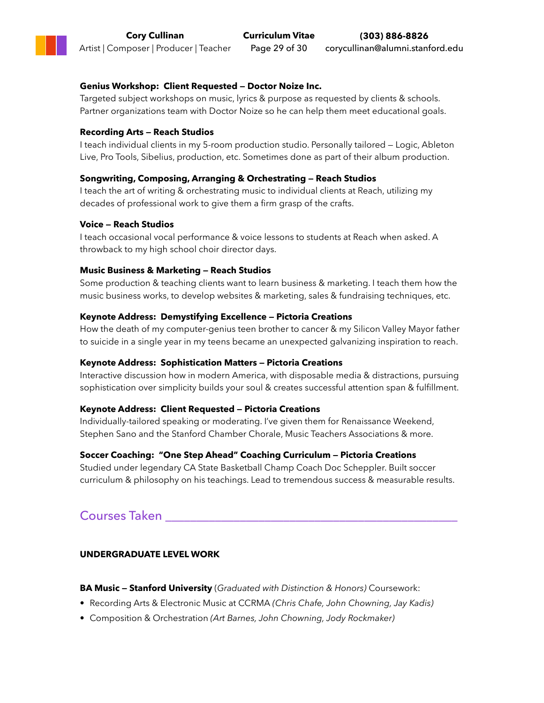#### **Genius Workshop: Client Requested — Doctor Noize Inc.**

Targeted subject workshops on music, lyrics & purpose as requested by clients & schools. Partner organizations team with Doctor Noize so he can help them meet educational goals.

#### **Recording Arts — Reach Studios**

I teach individual clients in my 5-room production studio. Personally tailored — Logic, Ableton Live, Pro Tools, Sibelius, production, etc. Sometimes done as part of their album production.

#### **Songwriting, Composing, Arranging & Orchestrating — Reach Studios**

I teach the art of writing & orchestrating music to individual clients at Reach, utilizing my decades of professional work to give them a firm grasp of the crafts.

#### **Voice — Reach Studios**

I teach occasional vocal performance & voice lessons to students at Reach when asked. A throwback to my high school choir director days.

#### **Music Business & Marketing — Reach Studios**

Some production & teaching clients want to learn business & marketing. I teach them how the music business works, to develop websites & marketing, sales & fundraising techniques, etc.

#### **Keynote Address: Demystifying Excellence — Pictoria Creations**

How the death of my computer-genius teen brother to cancer & my Silicon Valley Mayor father to suicide in a single year in my teens became an unexpected galvanizing inspiration to reach.

#### **Keynote Address: Sophistication Matters — Pictoria Creations**

Interactive discussion how in modern America, with disposable media & distractions, pursuing sophistication over simplicity builds your soul & creates successful attention span & fulfillment.

#### **Keynote Address: Client Requested — Pictoria Creations**

Individually-tailored speaking or moderating. I've given them for Renaissance Weekend, Stephen Sano and the Stanford Chamber Chorale, Music Teachers Associations & more.

### **Soccer Coaching: "One Step Ahead" Coaching Curriculum — Pictoria Creations**

Studied under legendary CA State Basketball Champ Coach Doc Scheppler. Built soccer curriculum & philosophy on his teachings. Lead to tremendous success & measurable results.

## Courses Taken \_\_\_\_\_\_\_\_\_\_\_\_\_\_\_\_\_\_\_\_\_\_\_\_\_\_\_\_\_\_\_\_\_\_\_\_\_\_\_\_\_\_\_\_\_\_\_

### **UNDERGRADUATE LEVEL WORK**

**BA Music — Stanford University** (*Graduated with Distinction & Honors)* Coursework:

- Recording Arts & Electronic Music at CCRMA *(Chris Chafe, John Chowning, Jay Kadis)*
- Composition & Orchestration *(Art Barnes, John Chowning, Jody Rockmaker)*